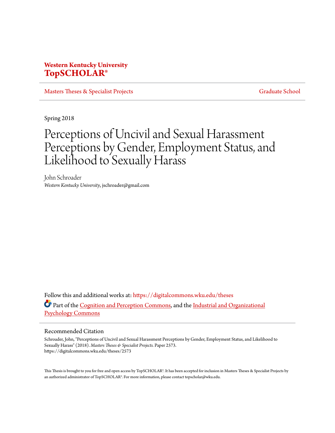# **Western Kentucky University [TopSCHOLAR®](https://digitalcommons.wku.edu?utm_source=digitalcommons.wku.edu%2Ftheses%2F2573&utm_medium=PDF&utm_campaign=PDFCoverPages)**

[Masters Theses & Specialist Projects](https://digitalcommons.wku.edu/theses?utm_source=digitalcommons.wku.edu%2Ftheses%2F2573&utm_medium=PDF&utm_campaign=PDFCoverPages) [Graduate School](https://digitalcommons.wku.edu/Graduate?utm_source=digitalcommons.wku.edu%2Ftheses%2F2573&utm_medium=PDF&utm_campaign=PDFCoverPages)

Spring 2018

# Perceptions of Uncivil and Sexual Harassment Perceptions by Gender, Employment Status, and Likelihood to Sexually Harass

John Schroader *Western Kentucky University*, jschroader@gmail.com

Follow this and additional works at: [https://digitalcommons.wku.edu/theses](https://digitalcommons.wku.edu/theses?utm_source=digitalcommons.wku.edu%2Ftheses%2F2573&utm_medium=PDF&utm_campaign=PDFCoverPages) Part of the [Cognition and Perception Commons](http://network.bepress.com/hgg/discipline/407?utm_source=digitalcommons.wku.edu%2Ftheses%2F2573&utm_medium=PDF&utm_campaign=PDFCoverPages), and the [Industrial and Organizational](http://network.bepress.com/hgg/discipline/412?utm_source=digitalcommons.wku.edu%2Ftheses%2F2573&utm_medium=PDF&utm_campaign=PDFCoverPages) [Psychology Commons](http://network.bepress.com/hgg/discipline/412?utm_source=digitalcommons.wku.edu%2Ftheses%2F2573&utm_medium=PDF&utm_campaign=PDFCoverPages)

#### Recommended Citation

Schroader, John, "Perceptions of Uncivil and Sexual Harassment Perceptions by Gender, Employment Status, and Likelihood to Sexually Harass" (2018). *Masters Theses & Specialist Projects.* Paper 2573. https://digitalcommons.wku.edu/theses/2573

This Thesis is brought to you for free and open access by TopSCHOLAR®. It has been accepted for inclusion in Masters Theses & Specialist Projects by an authorized administrator of TopSCHOLAR®. For more information, please contact topscholar@wku.edu.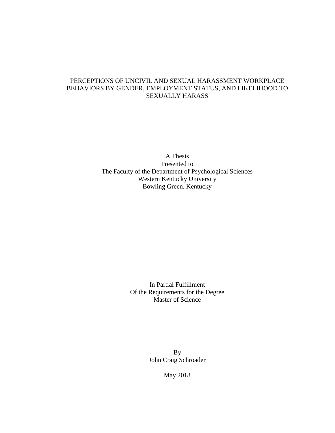# PERCEPTIONS OF UNCIVIL AND SEXUAL HARASSMENT WORKPLACE BEHAVIORS BY GENDER, EMPLOYMENT STATUS, AND LIKELIHOOD TO SEXUALLY HARASS

A Thesis Presented to The Faculty of the Department of Psychological Sciences Western Kentucky University Bowling Green, Kentucky

> In Partial Fulfillment Of the Requirements for the Degree Master of Science

> > By John Craig Schroader

> > > May 2018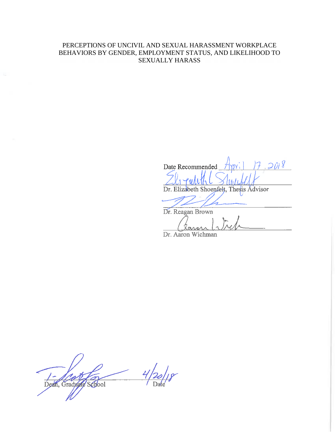# PERCEPTIONS OF UNCIVIL AND SEXUAL HARASSMENT WORKPLACE BEHAVIORS BY GENDER, EMPLOYMENT STATUS, AND LIKELIHOOD TO SEXUALLY HARASS

Date Recommended

Dr. Elizabeth Shoenfelt, Thesis Advisor

Dr. Reagan Brown ്ത∆

Dr. Aaron Wichman

Dean, Graduale School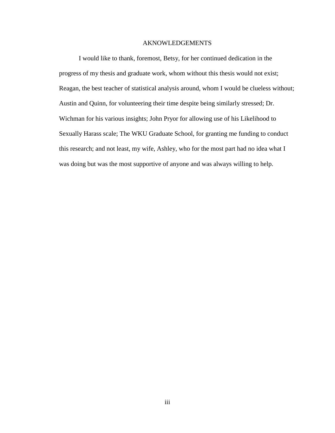# AKNOWLEDGEMENTS

I would like to thank, foremost, Betsy, for her continued dedication in the progress of my thesis and graduate work, whom without this thesis would not exist; Reagan, the best teacher of statistical analysis around, whom I would be clueless without; Austin and Quinn, for volunteering their time despite being similarly stressed; Dr. Wichman for his various insights; John Pryor for allowing use of his Likelihood to Sexually Harass scale; The WKU Graduate School, for granting me funding to conduct this research; and not least, my wife, Ashley, who for the most part had no idea what I was doing but was the most supportive of anyone and was always willing to help.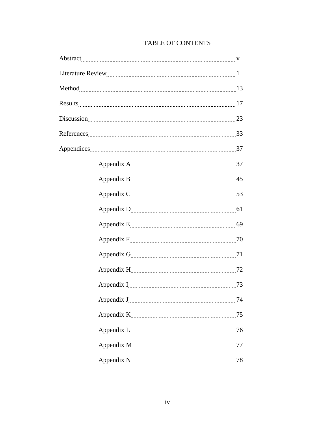# TABLE OF CONTENTS

| 74 |
|----|
|    |
|    |
|    |
| 78 |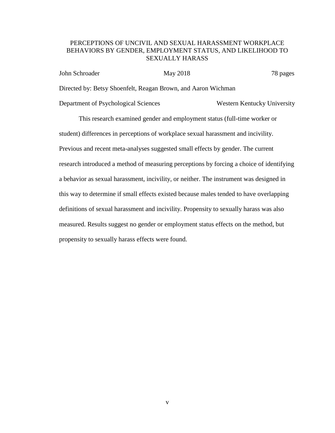# PERCEPTIONS OF UNCIVIL AND SEXUAL HARASSMENT WORKPLACE BEHAVIORS BY GENDER, EMPLOYMENT STATUS, AND LIKELIHOOD TO SEXUALLY HARASS

| John Schroader | May 2018                                                      | 78 pages |
|----------------|---------------------------------------------------------------|----------|
|                | Directed by: Betsy Shoenfelt, Reagan Brown, and Aaron Wichman |          |

Department of Psychological Sciences Western Kentucky University

This research examined gender and employment status (full-time worker or student) differences in perceptions of workplace sexual harassment and incivility. Previous and recent meta-analyses suggested small effects by gender. The current research introduced a method of measuring perceptions by forcing a choice of identifying a behavior as sexual harassment, incivility, or neither. The instrument was designed in this way to determine if small effects existed because males tended to have overlapping definitions of sexual harassment and incivility. Propensity to sexually harass was also measured. Results suggest no gender or employment status effects on the method, but propensity to sexually harass effects were found.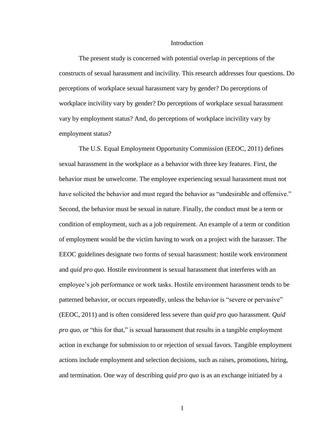#### Introduction

The present study is concerned with potential overlap in perceptions of the constructs of sexual harassment and incivility. This research addresses four questions. Do perceptions of workplace sexual harassment vary by gender? Do perceptions of workplace incivility vary by gender? Do perceptions of workplace sexual harassment vary by employment status? And, do perceptions of workplace incivility vary by employment status?

The U.S. Equal Employment Opportunity Commission (EEOC, 2011) defines sexual harassment in the workplace as a behavior with three key features. First, the behavior must be unwelcome. The employee experiencing sexual harassment must not have solicited the behavior and must regard the behavior as "undesirable and offensive." Second, the behavior must be sexual in nature. Finally, the conduct must be a term or condition of employment, such as a job requirement. An example of a term or condition of employment would be the victim having to work on a project with the harasser. The EEOC guidelines designate two forms of sexual harassment: hostile work environment and *quid pro quo.* Hostile environment is sexual harassment that interferes with an employee's job performance or work tasks. Hostile environment harassment tends to be patterned behavior, or occurs repeatedly, unless the behavior is "severe or pervasive" (EEOC, 2011) and is often considered less severe than *quid pro quo* harassment. *Quid pro quo*, or "this for that," is sexual harassment that results in a tangible employment action in exchange for submission to or rejection of sexual favors. Tangible employment actions include employment and selection decisions, such as raises, promotions, hiring, and termination. One way of describing *quid pro quo* is as an exchange initiated by a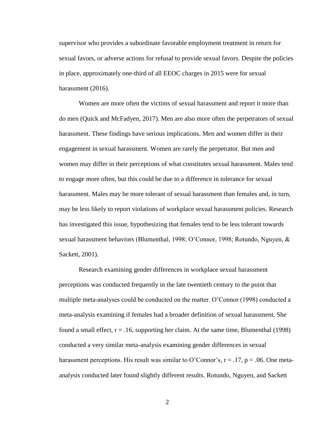supervisor who provides a subordinate favorable employment treatment in return for sexual favors, or adverse actions for refusal to provide sexual favors. Despite the policies in place, approximately one-third of all EEOC charges in 2015 were for sexual harassment (2016).

Women are more often the victims of sexual harassment and report it more than do men (Quick and McFadyen, 2017). Men are also more often the perpetrators of sexual harassment. These findings have serious implications. Men and women differ in their engagement in sexual harassment. Women are rarely the perpetrator. But men and women may differ in their perceptions of what constitutes sexual harassment. Males tend to engage more often, but this could be due to a difference in tolerance for sexual harassment. Males may be more tolerant of sexual harassment than females and, in turn, may be less likely to report violations of workplace sexual harassment policies. Research has investigated this issue, hypothesizing that females tend to be less tolerant towards sexual harassment behaviors (Blumenthal, 1998; O'Connor, 1998; Rotundo, Nguyen, & Sackett, 2001).

Research examining gender differences in workplace sexual harassment perceptions was conducted frequently in the late twentieth century to the point that multiple meta-analyses could be conducted on the matter. O'Connor (1998) conducted a meta-analysis examining if females had a broader definition of sexual harassment. She found a small effect,  $r = .16$ , supporting her claim. At the same time, Blumenthal (1998) conducted a very similar meta-analysis examining gender differences in sexual harassment perceptions. His result was similar to O'Connor's,  $r = .17$ ,  $p = .06$ . One metaanalysis conducted later found slightly different results. Rotundo, Nguyen, and Sackett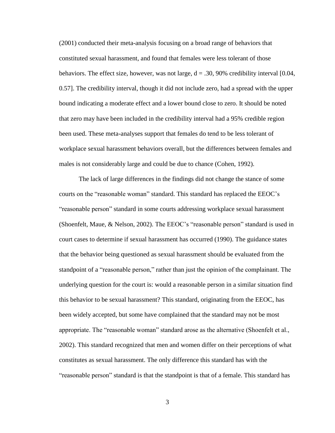(2001) conducted their meta-analysis focusing on a broad range of behaviors that constituted sexual harassment, and found that females were less tolerant of those behaviors. The effect size, however, was not large,  $d = .30, 90\%$  credibility interval [0.04, 0.57]. The credibility interval, though it did not include zero, had a spread with the upper bound indicating a moderate effect and a lower bound close to zero. It should be noted that zero may have been included in the credibility interval had a 95% credible region been used. These meta-analyses support that females do tend to be less tolerant of workplace sexual harassment behaviors overall, but the differences between females and males is not considerably large and could be due to chance (Cohen, 1992).

The lack of large differences in the findings did not change the stance of some courts on the "reasonable woman" standard. This standard has replaced the EEOC's "reasonable person" standard in some courts addressing workplace sexual harassment (Shoenfelt, Maue, & Nelson, 2002). The EEOC's "reasonable person" standard is used in court cases to determine if sexual harassment has occurred (1990). The guidance states that the behavior being questioned as sexual harassment should be evaluated from the standpoint of a "reasonable person," rather than just the opinion of the complainant. The underlying question for the court is: would a reasonable person in a similar situation find this behavior to be sexual harassment? This standard, originating from the EEOC, has been widely accepted, but some have complained that the standard may not be most appropriate. The "reasonable woman" standard arose as the alternative (Shoenfelt et al., 2002). This standard recognized that men and women differ on their perceptions of what constitutes as sexual harassment. The only difference this standard has with the "reasonable person" standard is that the standpoint is that of a female. This standard has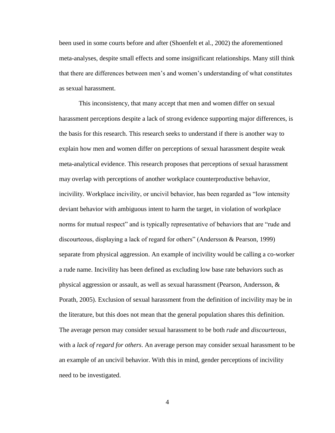been used in some courts before and after (Shoenfelt et al., 2002) the aforementioned meta-analyses, despite small effects and some insignificant relationships. Many still think that there are differences between men's and women's understanding of what constitutes as sexual harassment.

This inconsistency, that many accept that men and women differ on sexual harassment perceptions despite a lack of strong evidence supporting major differences, is the basis for this research. This research seeks to understand if there is another way to explain how men and women differ on perceptions of sexual harassment despite weak meta-analytical evidence. This research proposes that perceptions of sexual harassment may overlap with perceptions of another workplace counterproductive behavior, incivility. Workplace incivility, or uncivil behavior, has been regarded as "low intensity deviant behavior with ambiguous intent to harm the target, in violation of workplace norms for mutual respect" and is typically representative of behaviors that are "rude and discourteous, displaying a lack of regard for others" (Andersson & Pearson, 1999) separate from physical aggression. An example of incivility would be calling a co-worker a rude name. Incivility has been defined as excluding low base rate behaviors such as physical aggression or assault, as well as sexual harassment (Pearson, Andersson, & Porath, 2005). Exclusion of sexual harassment from the definition of incivility may be in the literature, but this does not mean that the general population shares this definition. The average person may consider sexual harassment to be both *rude* and *discourteous*, with a *lack of regard for others*. An average person may consider sexual harassment to be an example of an uncivil behavior. With this in mind, gender perceptions of incivility need to be investigated.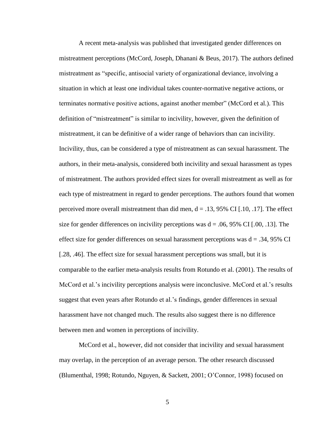A recent meta-analysis was published that investigated gender differences on mistreatment perceptions (McCord, Joseph, Dhanani & Beus, 2017). The authors defined mistreatment as "specific, antisocial variety of organizational deviance, involving a situation in which at least one individual takes counter-normative negative actions, or terminates normative positive actions, against another member" (McCord et al.). This definition of "mistreatment" is similar to incivility, however, given the definition of mistreatment, it can be definitive of a wider range of behaviors than can incivility. Incivility, thus, can be considered a type of mistreatment as can sexual harassment. The authors, in their meta-analysis, considered both incivility and sexual harassment as types of mistreatment. The authors provided effect sizes for overall mistreatment as well as for each type of mistreatment in regard to gender perceptions. The authors found that women perceived more overall mistreatment than did men,  $d = .13, 95\%$  CI [.10, .17]. The effect size for gender differences on incivility perceptions was  $d = .06, 95\%$  CI [.00, .13]. The effect size for gender differences on sexual harassment perceptions was  $d = .34, 95\%$  CI [.28, .46]. The effect size for sexual harassment perceptions was small, but it is comparable to the earlier meta-analysis results from Rotundo et al. (2001). The results of McCord et al.'s incivility perceptions analysis were inconclusive. McCord et al.'s results suggest that even years after Rotundo et al.'s findings, gender differences in sexual harassment have not changed much. The results also suggest there is no difference between men and women in perceptions of incivility.

McCord et al., however, did not consider that incivility and sexual harassment may overlap, in the perception of an average person. The other research discussed (Blumenthal, 1998; Rotundo, Nguyen, & Sackett, 2001; O'Connor, 1998) focused on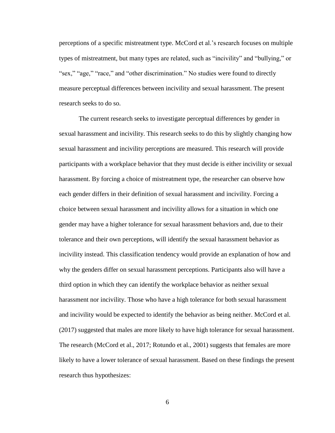perceptions of a specific mistreatment type. McCord et al.'s research focuses on multiple types of mistreatment, but many types are related, such as "incivility" and "bullying," or "sex," "age," "race," and "other discrimination." No studies were found to directly measure perceptual differences between incivility and sexual harassment. The present research seeks to do so.

The current research seeks to investigate perceptual differences by gender in sexual harassment and incivility. This research seeks to do this by slightly changing how sexual harassment and incivility perceptions are measured. This research will provide participants with a workplace behavior that they must decide is either incivility or sexual harassment. By forcing a choice of mistreatment type, the researcher can observe how each gender differs in their definition of sexual harassment and incivility. Forcing a choice between sexual harassment and incivility allows for a situation in which one gender may have a higher tolerance for sexual harassment behaviors and, due to their tolerance and their own perceptions, will identify the sexual harassment behavior as incivility instead. This classification tendency would provide an explanation of how and why the genders differ on sexual harassment perceptions. Participants also will have a third option in which they can identify the workplace behavior as neither sexual harassment nor incivility. Those who have a high tolerance for both sexual harassment and incivility would be expected to identify the behavior as being neither. McCord et al. (2017) suggested that males are more likely to have high tolerance for sexual harassment. The research (McCord et al., 2017; Rotundo et al., 2001) suggests that females are more likely to have a lower tolerance of sexual harassment. Based on these findings the present research thus hypothesizes: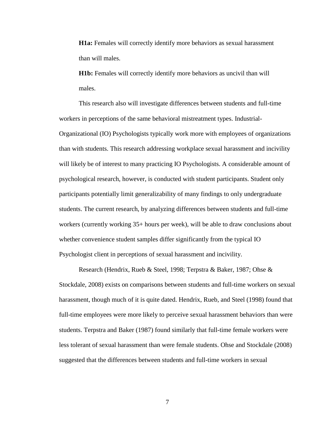**H1a:** Females will correctly identify more behaviors as sexual harassment than will males.

**H1b:** Females will correctly identify more behaviors as uncivil than will males.

This research also will investigate differences between students and full-time workers in perceptions of the same behavioral mistreatment types. Industrial-Organizational (IO) Psychologists typically work more with employees of organizations than with students. This research addressing workplace sexual harassment and incivility will likely be of interest to many practicing IO Psychologists. A considerable amount of psychological research, however, is conducted with student participants. Student only participants potentially limit generalizability of many findings to only undergraduate students. The current research, by analyzing differences between students and full-time workers (currently working 35+ hours per week), will be able to draw conclusions about whether convenience student samples differ significantly from the typical IO Psychologist client in perceptions of sexual harassment and incivility.

Research (Hendrix, Rueb & Steel, 1998; Terpstra & Baker, 1987; Ohse & Stockdale, 2008) exists on comparisons between students and full-time workers on sexual harassment, though much of it is quite dated. Hendrix, Rueb, and Steel (1998) found that full-time employees were more likely to perceive sexual harassment behaviors than were students. Terpstra and Baker (1987) found similarly that full-time female workers were less tolerant of sexual harassment than were female students. Ohse and Stockdale (2008) suggested that the differences between students and full-time workers in sexual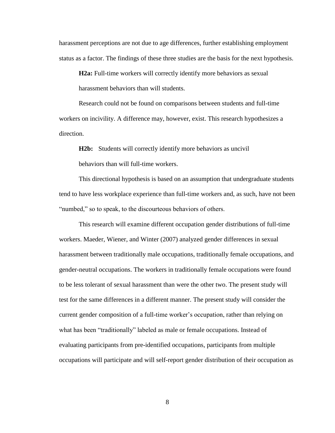harassment perceptions are not due to age differences, further establishing employment status as a factor. The findings of these three studies are the basis for the next hypothesis.

**H2a:** Full-time workers will correctly identify more behaviors as sexual harassment behaviors than will students.

Research could not be found on comparisons between students and full-time workers on incivility. A difference may, however, exist. This research hypothesizes a direction.

**H2b:** Students will correctly identify more behaviors as uncivil behaviors than will full-time workers.

This directional hypothesis is based on an assumption that undergraduate students tend to have less workplace experience than full-time workers and, as such, have not been "numbed," so to speak, to the discourteous behaviors of others.

This research will examine different occupation gender distributions of full-time workers. Maeder, Wiener, and Winter (2007) analyzed gender differences in sexual harassment between traditionally male occupations, traditionally female occupations, and gender-neutral occupations. The workers in traditionally female occupations were found to be less tolerant of sexual harassment than were the other two. The present study will test for the same differences in a different manner. The present study will consider the current gender composition of a full-time worker's occupation, rather than relying on what has been "traditionally" labeled as male or female occupations. Instead of evaluating participants from pre-identified occupations, participants from multiple occupations will participate and will self-report gender distribution of their occupation as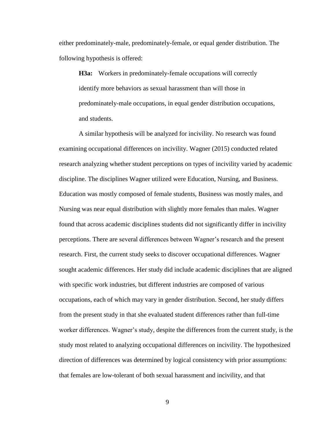either predominately-male, predominately-female, or equal gender distribution. The following hypothesis is offered:

**H3a:** Workers in predominately-female occupations will correctly identify more behaviors as sexual harassment than will those in predominately-male occupations, in equal gender distribution occupations, and students.

A similar hypothesis will be analyzed for incivility. No research was found examining occupational differences on incivility. Wagner (2015) conducted related research analyzing whether student perceptions on types of incivility varied by academic discipline. The disciplines Wagner utilized were Education, Nursing, and Business. Education was mostly composed of female students, Business was mostly males, and Nursing was near equal distribution with slightly more females than males. Wagner found that across academic disciplines students did not significantly differ in incivility perceptions. There are several differences between Wagner's research and the present research. First, the current study seeks to discover occupational differences. Wagner sought academic differences. Her study did include academic disciplines that are aligned with specific work industries, but different industries are composed of various occupations, each of which may vary in gender distribution. Second, her study differs from the present study in that she evaluated student differences rather than full-time worker differences. Wagner's study, despite the differences from the current study, is the study most related to analyzing occupational differences on incivility. The hypothesized direction of differences was determined by logical consistency with prior assumptions: that females are low-tolerant of both sexual harassment and incivility, and that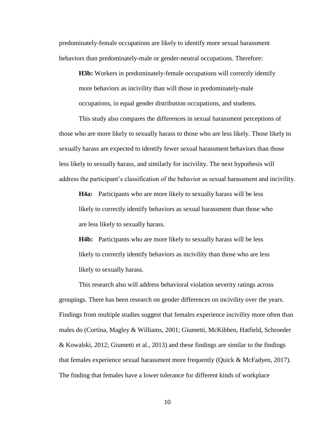predominately-female occupations are likely to identify more sexual harassment behaviors than predominately-male or gender-neutral occupations. Therefore:

**H3b:** Workers in predominately-female occupations will correctly identify more behaviors as incivility than will those in predominately-male occupations, in equal gender distribution occupations, and students.

This study also compares the differences in sexual harassment perceptions of those who are more likely to sexually harass to those who are less likely. Those likely to sexually harass are expected to identify fewer sexual harassment behaviors than those less likely to sexually harass, and similarly for incivility. The next hypothesis will address the participant's classification of the behavior as sexual harassment and incivility.

**H4a:** Participants who are more likely to sexually harass will be less likely to correctly identify behaviors as sexual harassment than those who are less likely to sexually harass.

**H4b:** Participants who are more likely to sexually harass will be less likely to correctly identify behaviors as incivility than those who are less likely to sexually harass.

This research also will address behavioral violation severity ratings across groupings. There has been research on gender differences on incivility over the years. Findings from multiple studies suggest that females experience incivility more often than males do (Cortina, Magley & Williams, 2001; Giumetti, McKibben, Hatfield, Schroeder & Kowalski, 2012; Giumetti et al., 2013) and these findings are similar to the findings that females experience sexual harassment more frequently (Quick & McFadyen, 2017). The finding that females have a lower tolerance for different kinds of workplace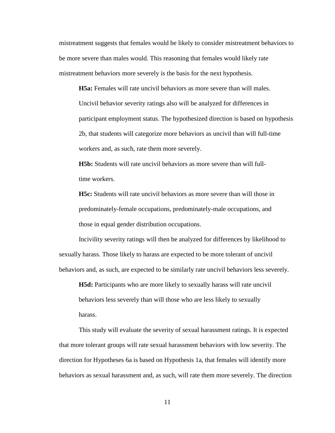mistreatment suggests that females would be likely to consider mistreatment behaviors to be more severe than males would. This reasoning that females would likely rate mistreatment behaviors more severely is the basis for the next hypothesis.

**H5a:** Females will rate uncivil behaviors as more severe than will males. Uncivil behavior severity ratings also will be analyzed for differences in participant employment status. The hypothesized direction is based on hypothesis 2b, that students will categorize more behaviors as uncivil than will full-time workers and, as such, rate them more severely.

**H5b:** Students will rate uncivil behaviors as more severe than will fulltime workers.

**H5c:** Students will rate uncivil behaviors as more severe than will those in predominately-female occupations, predominately-male occupations, and those in equal gender distribution occupations.

Incivility severity ratings will then be analyzed for differences by likelihood to sexually harass. Those likely to harass are expected to be more tolerant of uncivil behaviors and, as such, are expected to be similarly rate uncivil behaviors less severely.

**H5d:** Participants who are more likely to sexually harass will rate uncivil behaviors less severely than will those who are less likely to sexually harass.

This study will evaluate the severity of sexual harassment ratings. It is expected that more tolerant groups will rate sexual harassment behaviors with low severity. The direction for Hypotheses 6a is based on Hypothesis 1a, that females will identify more behaviors as sexual harassment and, as such, will rate them more severely. The direction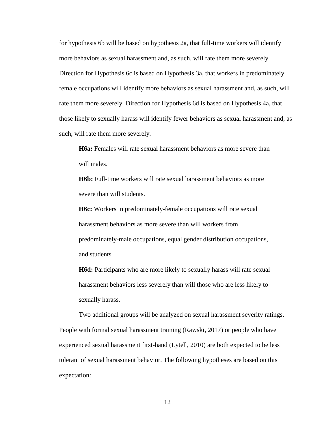for hypothesis 6b will be based on hypothesis 2a, that full-time workers will identify more behaviors as sexual harassment and, as such, will rate them more severely. Direction for Hypothesis 6c is based on Hypothesis 3a, that workers in predominately female occupations will identify more behaviors as sexual harassment and, as such, will rate them more severely. Direction for Hypothesis 6d is based on Hypothesis 4a, that those likely to sexually harass will identify fewer behaviors as sexual harassment and, as such, will rate them more severely.

**H6a:** Females will rate sexual harassment behaviors as more severe than will males.

**H6b:** Full-time workers will rate sexual harassment behaviors as more severe than will students.

**H6c:** Workers in predominately-female occupations will rate sexual harassment behaviors as more severe than will workers from predominately-male occupations, equal gender distribution occupations, and students.

**H6d:** Participants who are more likely to sexually harass will rate sexual harassment behaviors less severely than will those who are less likely to sexually harass.

Two additional groups will be analyzed on sexual harassment severity ratings. People with formal sexual harassment training (Rawski, 2017) or people who have experienced sexual harassment first-hand (Lytell, 2010) are both expected to be less tolerant of sexual harassment behavior. The following hypotheses are based on this expectation: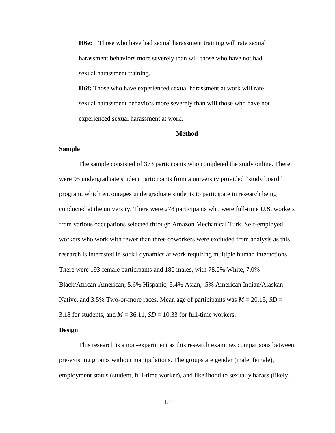**H6e:** Those who have had sexual harassment training will rate sexual harassment behaviors more severely than will those who have not had sexual harassment training.

**H6f:** Those who have experienced sexual harassment at work will rate sexual harassment behaviors more severely than will those who have not experienced sexual harassment at work.

#### **Method**

# **Sample**

The sample consisted of 373 participants who completed the study online. There were 95 undergraduate student participants from a university provided "study board" program, which encourages undergraduate students to participate in research being conducted at the university. There were 278 participants who were full-time U.S. workers from various occupations selected through Amazon Mechanical Turk. Self-employed workers who work with fewer than three coworkers were excluded from analysis as this research is interested in social dynamics at work requiring multiple human interactions. There were 193 female participants and 180 males, with 78.0% White, 7.0% Black/African-American, 5.6% Hispanic, 5.4% Asian, .5% American Indian/Alaskan Native, and 3.5% Two-or-more races. Mean age of participants was  $M = 20.15$ ,  $SD =$ 3.18 for students, and  $M = 36.11$ ,  $SD = 10.33$  for full-time workers.

## **Design**

This research is a non-experiment as this research examines comparisons between pre-existing groups without manipulations. The groups are gender (male, female), employment status (student, full-time worker), and likelihood to sexually harass (likely,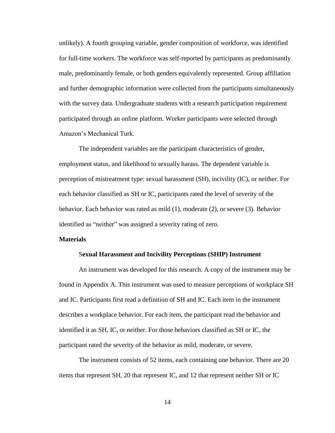unlikely). A fourth grouping variable, gender composition of workforce, was identified for full-time workers. The workforce was self-reported by participants as predominantly male, predominantly female, or both genders equivalently represented. Group affiliation and further demographic information were collected from the participants simultaneously with the survey data. Undergraduate students with a research participation requirement participated through an online platform. Worker participants were selected through Amazon's Mechanical Turk.

The independent variables are the participant characteristics of gender, employment status, and likelihood to sexually harass. The dependent variable is perception of mistreatment type: sexual harassment (SH), incivility (IC), or neither. For each behavior classified as SH or IC, participants rated the level of severity of the behavior. Each behavior was rated as mild (1), moderate (2), or severe (3). Behavior identified as "neither" was assigned a severity rating of zero.

#### **Materials**

#### S**exual Harassment and Incivility Perceptions (SHIP) Instrument**

An instrument was developed for this research. A copy of the instrument may be found in Appendix A. This instrument was used to measure perceptions of workplace SH and IC. Participants first read a definition of SH and IC. Each item in the instrument describes a workplace behavior. For each item, the participant read the behavior and identified it as SH, IC, or neither. For those behaviors classified as SH or IC, the participant rated the severity of the behavior as mild, moderate, or severe.

The instrument consists of 52 items, each containing one behavior. There are 20 items that represent SH, 20 that represent IC, and 12 that represent neither SH or IC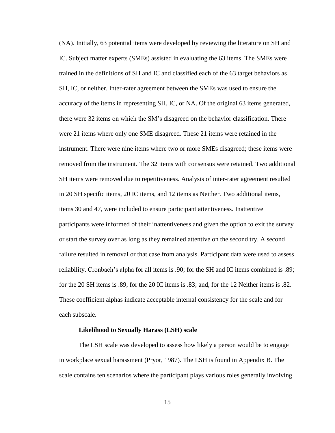(NA). Initially, 63 potential items were developed by reviewing the literature on SH and IC. Subject matter experts (SMEs) assisted in evaluating the 63 items. The SMEs were trained in the definitions of SH and IC and classified each of the 63 target behaviors as SH, IC, or neither. Inter-rater agreement between the SMEs was used to ensure the accuracy of the items in representing SH, IC, or NA. Of the original 63 items generated, there were 32 items on which the SM's disagreed on the behavior classification. There were 21 items where only one SME disagreed. These 21 items were retained in the instrument. There were nine items where two or more SMEs disagreed; these items were removed from the instrument. The 32 items with consensus were retained. Two additional SH items were removed due to repetitiveness. Analysis of inter-rater agreement resulted in 20 SH specific items, 20 IC items, and 12 items as Neither. Two additional items, items 30 and 47, were included to ensure participant attentiveness. Inattentive participants were informed of their inattentiveness and given the option to exit the survey or start the survey over as long as they remained attentive on the second try. A second failure resulted in removal or that case from analysis. Participant data were used to assess reliability. Cronbach's alpha for all items is .90; for the SH and IC items combined is .89; for the 20 SH items is .89, for the 20 IC items is .83; and, for the 12 Neither items is .82. These coefficient alphas indicate acceptable internal consistency for the scale and for each subscale.

#### **Likelihood to Sexually Harass (LSH) scale**

The LSH scale was developed to assess how likely a person would be to engage in workplace sexual harassment (Pryor, 1987). The LSH is found in Appendix B. The scale contains ten scenarios where the participant plays various roles generally involving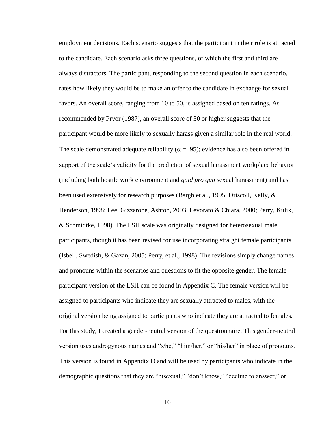employment decisions. Each scenario suggests that the participant in their role is attracted to the candidate. Each scenario asks three questions, of which the first and third are always distractors. The participant, responding to the second question in each scenario, rates how likely they would be to make an offer to the candidate in exchange for sexual favors. An overall score, ranging from 10 to 50, is assigned based on ten ratings. As recommended by Pryor (1987), an overall score of 30 or higher suggests that the participant would be more likely to sexually harass given a similar role in the real world. The scale demonstrated adequate reliability ( $\alpha$  = .95); evidence has also been offered in support of the scale's validity for the prediction of sexual harassment workplace behavior (including both hostile work environment and *quid pro quo* sexual harassment) and has been used extensively for research purposes (Bargh et al., 1995; Driscoll, Kelly, & Henderson, 1998; Lee, Gizzarone, Ashton, 2003; Levorato & Chiara, 2000; Perry, Kulik, & Schmidtke, 1998). The LSH scale was originally designed for heterosexual male participants, though it has been revised for use incorporating straight female participants (Isbell, Swedish, & Gazan, 2005; Perry, et al., 1998). The revisions simply change names and pronouns within the scenarios and questions to fit the opposite gender. The female participant version of the LSH can be found in Appendix C. The female version will be assigned to participants who indicate they are sexually attracted to males, with the original version being assigned to participants who indicate they are attracted to females. For this study, I created a gender-neutral version of the questionnaire. This gender-neutral version uses androgynous names and "s/he," "him/her," or "his/her" in place of pronouns. This version is found in Appendix D and will be used by participants who indicate in the demographic questions that they are "bisexual," "don't know," "decline to answer," or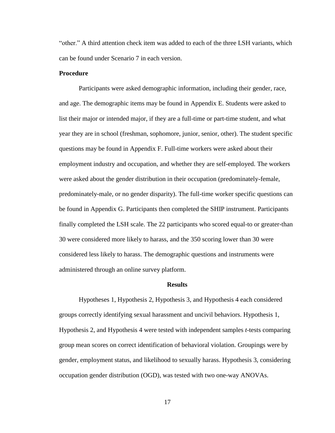"other." A third attention check item was added to each of the three LSH variants, which can be found under Scenario 7 in each version.

## **Procedure**

Participants were asked demographic information, including their gender, race, and age. The demographic items may be found in Appendix E. Students were asked to list their major or intended major, if they are a full-time or part-time student, and what year they are in school (freshman, sophomore, junior, senior, other). The student specific questions may be found in Appendix F. Full-time workers were asked about their employment industry and occupation, and whether they are self-employed. The workers were asked about the gender distribution in their occupation (predominately-female, predominately-male, or no gender disparity). The full-time worker specific questions can be found in Appendix G. Participants then completed the SHIP instrument. Participants finally completed the LSH scale. The 22 participants who scored equal-to or greater-than 30 were considered more likely to harass, and the 350 scoring lower than 30 were considered less likely to harass. The demographic questions and instruments were administered through an online survey platform.

## **Results**

Hypotheses 1, Hypothesis 2, Hypothesis 3, and Hypothesis 4 each considered groups correctly identifying sexual harassment and uncivil behaviors. Hypothesis 1, Hypothesis 2, and Hypothesis 4 were tested with independent samples *t*-tests comparing group mean scores on correct identification of behavioral violation. Groupings were by gender, employment status, and likelihood to sexually harass. Hypothesis 3, considering occupation gender distribution (OGD), was tested with two one-way ANOVAs.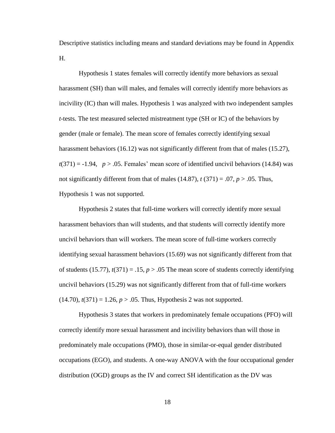Descriptive statistics including means and standard deviations may be found in Appendix H.

Hypothesis 1 states females will correctly identify more behaviors as sexual harassment (SH) than will males, and females will correctly identify more behaviors as incivility (IC) than will males. Hypothesis 1 was analyzed with two independent samples *t*-tests. The test measured selected mistreatment type (SH or IC) of the behaviors by gender (male or female). The mean score of females correctly identifying sexual harassment behaviors (16.12) was not significantly different from that of males (15.27),  $t(371) = -1.94$ ,  $p > .05$ . Females' mean score of identified uncivil behaviors (14.84) was not significantly different from that of males  $(14.87)$ ,  $t(371) = .07$ ,  $p > .05$ . Thus, Hypothesis 1 was not supported.

Hypothesis 2 states that full-time workers will correctly identify more sexual harassment behaviors than will students, and that students will correctly identify more uncivil behaviors than will workers. The mean score of full-time workers correctly identifying sexual harassment behaviors (15.69) was not significantly different from that of students (15.77),  $t(371) = .15$ ,  $p > .05$  The mean score of students correctly identifying uncivil behaviors (15.29) was not significantly different from that of full-time workers  $(14.70)$ ,  $t(371) = 1.26$ ,  $p > .05$ . Thus, Hypothesis 2 was not supported.

Hypothesis 3 states that workers in predominately female occupations (PFO) will correctly identify more sexual harassment and incivility behaviors than will those in predominately male occupations (PMO), those in similar-or-equal gender distributed occupations (EGO), and students. A one-way ANOVA with the four occupational gender distribution (OGD) groups as the IV and correct SH identification as the DV was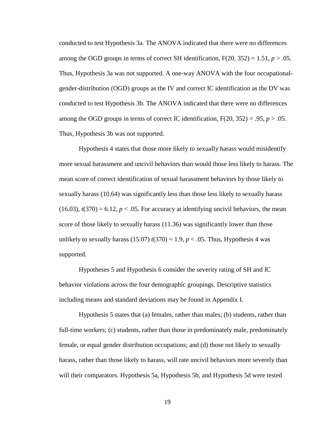conducted to test Hypothesis 3a. The ANOVA indicated that there were no differences among the OGD groups in terms of correct SH identification,  $F(20, 352) = 1.51$ ,  $p > .05$ . Thus, Hypothesis 3a was not supported. A one-way ANOVA with the four occupationalgender-distribution (OGD) groups as the IV and correct IC identification as the DV was conducted to test Hypothesis 3b. The ANOVA indicated that there were no differences among the OGD groups in terms of correct IC identification,  $F(20, 352) = .95$ ,  $p > .05$ . Thus, Hypothesis 3b was not supported.

Hypothesis 4 states that those more likely to sexually harass would misidentify more sexual harassment and uncivil behaviors than would those less likely to harass. The mean score of correct identification of sexual harassment behaviors by those likely to sexually harass (10.64) was significantly less than those less likely to sexually harass  $(16.03)$ ,  $t(370) = 6.12$ ,  $p < .05$ . For accuracy at identifying uncivil behaviors, the mean score of those likely to sexually harass (11.36) was significantly lower than those unlikely to sexually harass  $(15.07) t(370) = 1.9, p < .05$ . Thus, Hypothesis 4 was supported.

Hypotheses 5 and Hypothesis 6 consider the severity rating of SH and IC behavior violations across the four demographic groupings. Descriptive statistics including means and standard deviations may be found in Appendix I.

Hypothesis 5 states that (a) females, rather than males; (b) students, rather than full-time workers; (c) students, rather than those in predominately male, predominately female, or equal gender distribution occupations; and (d) those not likely to sexually harass, rather than those likely to harass, will rate uncivil behaviors more severely than will their comparators. Hypothesis 5a, Hypothesis 5b, and Hypothesis 5d were tested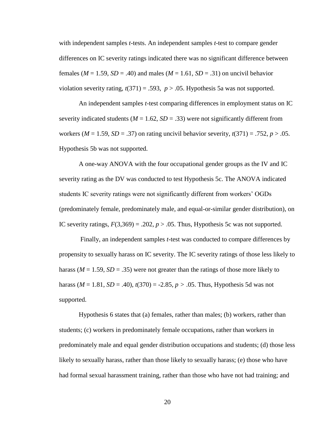with independent samples *t*-tests. An independent samples *t*-test to compare gender differences on IC severity ratings indicated there was no significant difference between females ( $M = 1.59$ ,  $SD = .40$ ) and males ( $M = 1.61$ ,  $SD = .31$ ) on uncivil behavior violation severity rating,  $t(371) = .593$ ,  $p > .05$ . Hypothesis 5a was not supported.

An independent samples *t*-test comparing differences in employment status on IC severity indicated students ( $M = 1.62$ ,  $SD = .33$ ) were not significantly different from workers ( $M = 1.59$ ,  $SD = .37$ ) on rating uncivil behavior severity,  $t(371) = .752$ ,  $p > .05$ . Hypothesis 5b was not supported.

A one-way ANOVA with the four occupational gender groups as the IV and IC severity rating as the DV was conducted to test Hypothesis 5c. The ANOVA indicated students IC severity ratings were not significantly different from workers' OGDs (predominately female, predominately male, and equal-or-similar gender distribution), on IC severity ratings,  $F(3,369) = .202$ ,  $p > .05$ . Thus, Hypothesis 5c was not supported.

Finally, an independent samples *t*-test was conducted to compare differences by propensity to sexually harass on IC severity. The IC severity ratings of those less likely to harass ( $M = 1.59$ ,  $SD = .35$ ) were not greater than the ratings of those more likely to harass ( $M = 1.81$ ,  $SD = .40$ ),  $t(370) = -2.85$ ,  $p > .05$ . Thus, Hypothesis 5d was not supported.

Hypothesis 6 states that (a) females, rather than males; (b) workers, rather than students; (c) workers in predominately female occupations, rather than workers in predominately male and equal gender distribution occupations and students; (d) those less likely to sexually harass, rather than those likely to sexually harass; (e) those who have had formal sexual harassment training, rather than those who have not had training; and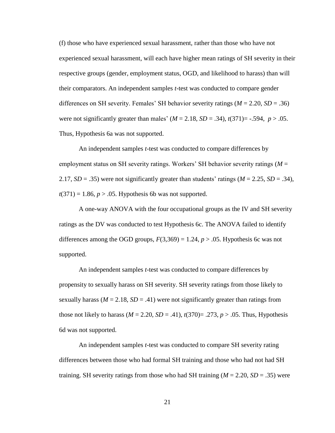(f) those who have experienced sexual harassment, rather than those who have not experienced sexual harassment, will each have higher mean ratings of SH severity in their respective groups (gender, employment status, OGD, and likelihood to harass) than will their comparators. An independent samples *t*-test was conducted to compare gender differences on SH severity. Females' SH behavior severity ratings (*M* = 2.20, *SD* = .36) were not significantly greater than males'  $(M = 2.18, SD = .34)$ ,  $t(371) = -.594$ ,  $p > .05$ . Thus, Hypothesis 6a was not supported.

An independent samples *t*-test was conducted to compare differences by employment status on SH severity ratings. Workers' SH behavior severity ratings (*M* = 2.17,  $SD = .35$ ) were not significantly greater than students' ratings ( $M = 2.25$ ,  $SD = .34$ ),  $t(371) = 1.86$ ,  $p > .05$ . Hypothesis 6b was not supported.

A one-way ANOVA with the four occupational groups as the IV and SH severity ratings as the DV was conducted to test Hypothesis 6c. The ANOVA failed to identify differences among the OGD groups,  $F(3,369) = 1.24$ ,  $p > .05$ . Hypothesis 6c was not supported.

An independent samples *t*-test was conducted to compare differences by propensity to sexually harass on SH severity. SH severity ratings from those likely to sexually harass ( $M = 2.18$ ,  $SD = .41$ ) were not significantly greater than ratings from those not likely to harass ( $M = 2.20$ ,  $SD = .41$ ),  $t(370) = .273$ ,  $p > .05$ . Thus, Hypothesis 6d was not supported.

An independent samples *t*-test was conducted to compare SH severity rating differences between those who had formal SH training and those who had not had SH training. SH severity ratings from those who had SH training (*M* = 2.20, *SD* = .35) were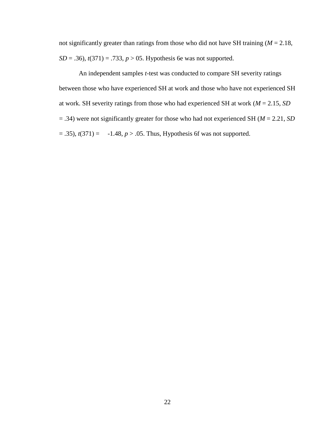not significantly greater than ratings from those who did not have SH training (*M* = 2.18, *SD* = .36), *t*(371) = .733, *p* > 05. Hypothesis 6e was not supported.

An independent samples *t*-test was conducted to compare SH severity ratings between those who have experienced SH at work and those who have not experienced SH at work. SH severity ratings from those who had experienced SH at work (*M* = 2.15, *SD*  = .34) were not significantly greater for those who had not experienced SH (*M* = 2.21, *SD*   $(1, 35)$ ,  $t(371) = -1.48$ ,  $p > .05$ . Thus, Hypothesis 6f was not supported.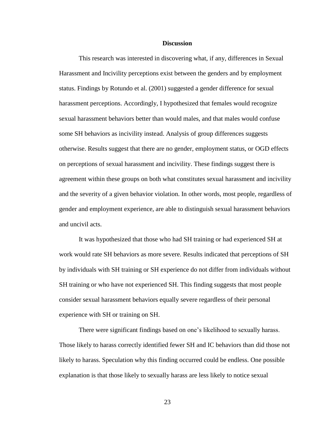### **Discussion**

This research was interested in discovering what, if any, differences in Sexual Harassment and Incivility perceptions exist between the genders and by employment status. Findings by Rotundo et al. (2001) suggested a gender difference for sexual harassment perceptions. Accordingly, I hypothesized that females would recognize sexual harassment behaviors better than would males, and that males would confuse some SH behaviors as incivility instead. Analysis of group differences suggests otherwise. Results suggest that there are no gender, employment status, or OGD effects on perceptions of sexual harassment and incivility. These findings suggest there is agreement within these groups on both what constitutes sexual harassment and incivility and the severity of a given behavior violation. In other words, most people, regardless of gender and employment experience, are able to distinguish sexual harassment behaviors and uncivil acts.

It was hypothesized that those who had SH training or had experienced SH at work would rate SH behaviors as more severe. Results indicated that perceptions of SH by individuals with SH training or SH experience do not differ from individuals without SH training or who have not experienced SH. This finding suggests that most people consider sexual harassment behaviors equally severe regardless of their personal experience with SH or training on SH.

There were significant findings based on one's likelihood to sexually harass. Those likely to harass correctly identified fewer SH and IC behaviors than did those not likely to harass. Speculation why this finding occurred could be endless. One possible explanation is that those likely to sexually harass are less likely to notice sexual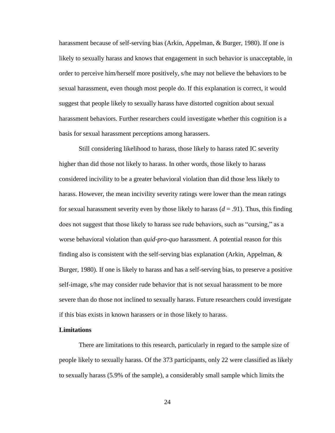harassment because of self-serving bias (Arkin, Appelman, & Burger, 1980). If one is likely to sexually harass and knows that engagement in such behavior is unacceptable, in order to perceive him/herself more positively, s/he may not believe the behaviors to be sexual harassment, even though most people do. If this explanation is correct, it would suggest that people likely to sexually harass have distorted cognition about sexual harassment behaviors. Further researchers could investigate whether this cognition is a basis for sexual harassment perceptions among harassers.

Still considering likelihood to harass, those likely to harass rated IC severity higher than did those not likely to harass. In other words, those likely to harass considered incivility to be a greater behavioral violation than did those less likely to harass. However, the mean incivility severity ratings were lower than the mean ratings for sexual harassment severity even by those likely to harass  $(d = .91)$ . Thus, this finding does not suggest that those likely to harass see rude behaviors, such as "cursing," as a worse behavioral violation than *quid-pro-quo* harassment. A potential reason for this finding also is consistent with the self-serving bias explanation (Arkin, Appelman, & Burger, 1980). If one is likely to harass and has a self-serving bias, to preserve a positive self-image, s/he may consider rude behavior that is not sexual harassment to be more severe than do those not inclined to sexually harass. Future researchers could investigate if this bias exists in known harassers or in those likely to harass.

# **Limitations**

There are limitations to this research, particularly in regard to the sample size of people likely to sexually harass. Of the 373 participants, only 22 were classified as likely to sexually harass (5.9% of the sample), a considerably small sample which limits the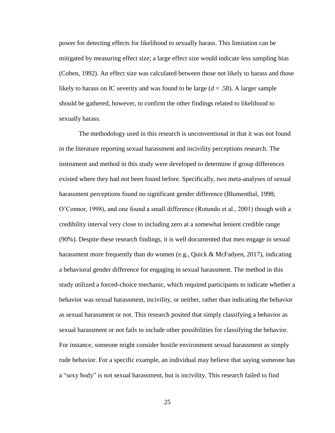power for detecting effects for likelihood to sexually harass. This limitation can be mitigated by measuring effect size; a large effect size would indicate less sampling bias (Cohen, 1992). An effect size was calculated between those not likely to harass and those likely to harass on IC severity and was found to be large  $(d = .58)$ . A larger sample should be gathered, however, to confirm the other findings related to likelihood to sexually harass.

The methodology used in this research is unconventional in that it was not found in the literature reporting sexual harassment and incivility perceptions research. The instrument and method in this study were developed to determine if group differences existed where they had not been found before. Specifically, two meta-analyses of sexual harassment perceptions found no significant gender difference (Blumenthal, 1998; O'Connor, 1998), and one found a small difference (Rotundo et al., 2001) though with a credibility interval very close to including zero at a somewhat lenient credible range (90%). Despite these research findings, it is well documented that men engage in sexual harassment more frequently than do women (e.g., Quick & McFadyen, 2017), indicating a behavioral gender difference for engaging in sexual harassment. The method in this study utilized a forced-choice mechanic, which required participants to indicate whether a behavior was sexual harassment, incivility, or neither, rather than indicating the behavior as sexual harassment or not. This research posited that simply classifying a behavior as sexual harassment or not fails to include other possibilities for classifying the behavior. For instance, someone might consider hostile environment sexual harassment as simply rude behavior. For a specific example, an individual may believe that saying someone has a "sexy body" is not sexual harassment, but is incivility. This research failed to find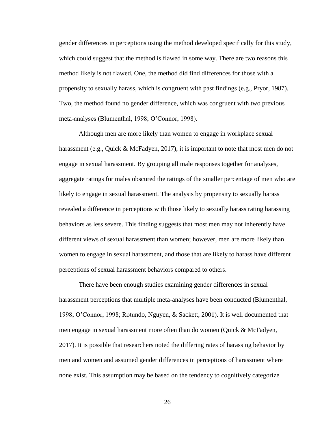gender differences in perceptions using the method developed specifically for this study, which could suggest that the method is flawed in some way. There are two reasons this method likely is not flawed. One, the method did find differences for those with a propensity to sexually harass, which is congruent with past findings (e.g., Pryor, 1987). Two, the method found no gender difference, which was congruent with two previous meta-analyses (Blumenthal, 1998; O'Connor, 1998).

Although men are more likely than women to engage in workplace sexual harassment (e.g., Quick & McFadyen, 2017), it is important to note that most men do not engage in sexual harassment. By grouping all male responses together for analyses, aggregate ratings for males obscured the ratings of the smaller percentage of men who are likely to engage in sexual harassment. The analysis by propensity to sexually harass revealed a difference in perceptions with those likely to sexually harass rating harassing behaviors as less severe. This finding suggests that most men may not inherently have different views of sexual harassment than women; however, men are more likely than women to engage in sexual harassment, and those that are likely to harass have different perceptions of sexual harassment behaviors compared to others.

There have been enough studies examining gender differences in sexual harassment perceptions that multiple meta-analyses have been conducted (Blumenthal, 1998; O'Connor, 1998; Rotundo, Nguyen, & Sackett, 2001). It is well documented that men engage in sexual harassment more often than do women (Quick & McFadyen, 2017). It is possible that researchers noted the differing rates of harassing behavior by men and women and assumed gender differences in perceptions of harassment where none exist. This assumption may be based on the tendency to cognitively categorize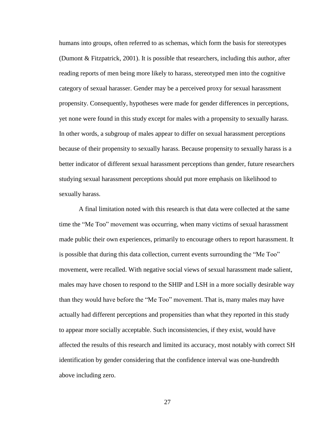humans into groups, often referred to as schemas, which form the basis for stereotypes (Dumont & Fitzpatrick, 2001). It is possible that researchers, including this author, after reading reports of men being more likely to harass, stereotyped men into the cognitive category of sexual harasser. Gender may be a perceived proxy for sexual harassment propensity. Consequently, hypotheses were made for gender differences in perceptions, yet none were found in this study except for males with a propensity to sexually harass. In other words, a subgroup of males appear to differ on sexual harassment perceptions because of their propensity to sexually harass. Because propensity to sexually harass is a better indicator of different sexual harassment perceptions than gender, future researchers studying sexual harassment perceptions should put more emphasis on likelihood to sexually harass.

A final limitation noted with this research is that data were collected at the same time the "Me Too" movement was occurring, when many victims of sexual harassment made public their own experiences, primarily to encourage others to report harassment. It is possible that during this data collection, current events surrounding the "Me Too" movement, were recalled. With negative social views of sexual harassment made salient, males may have chosen to respond to the SHIP and LSH in a more socially desirable way than they would have before the "Me Too" movement. That is, many males may have actually had different perceptions and propensities than what they reported in this study to appear more socially acceptable. Such inconsistencies, if they exist, would have affected the results of this research and limited its accuracy, most notably with correct SH identification by gender considering that the confidence interval was one-hundredth above including zero.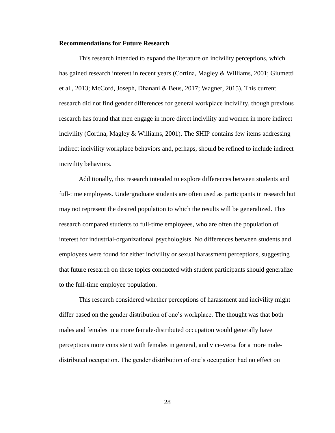# **Recommendations for Future Research**

This research intended to expand the literature on incivility perceptions, which has gained research interest in recent years (Cortina, Magley & Williams, 2001; Giumetti et al., 2013; McCord, Joseph, Dhanani & Beus, 2017; Wagner, 2015). This current research did not find gender differences for general workplace incivility, though previous research has found that men engage in more direct incivility and women in more indirect incivility (Cortina, Magley & Williams, 2001). The SHIP contains few items addressing indirect incivility workplace behaviors and, perhaps, should be refined to include indirect incivility behaviors.

Additionally, this research intended to explore differences between students and full-time employees. Undergraduate students are often used as participants in research but may not represent the desired population to which the results will be generalized. This research compared students to full-time employees, who are often the population of interest for industrial-organizational psychologists. No differences between students and employees were found for either incivility or sexual harassment perceptions, suggesting that future research on these topics conducted with student participants should generalize to the full-time employee population.

This research considered whether perceptions of harassment and incivility might differ based on the gender distribution of one's workplace. The thought was that both males and females in a more female-distributed occupation would generally have perceptions more consistent with females in general, and vice-versa for a more maledistributed occupation. The gender distribution of one's occupation had no effect on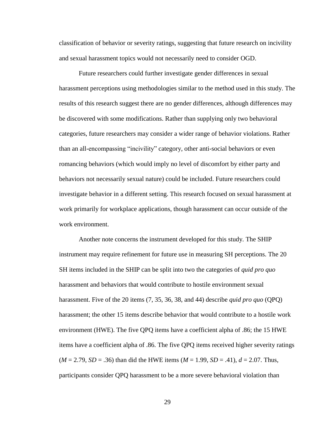classification of behavior or severity ratings, suggesting that future research on incivility and sexual harassment topics would not necessarily need to consider OGD.

Future researchers could further investigate gender differences in sexual harassment perceptions using methodologies similar to the method used in this study. The results of this research suggest there are no gender differences, although differences may be discovered with some modifications. Rather than supplying only two behavioral categories, future researchers may consider a wider range of behavior violations. Rather than an all-encompassing "incivility" category, other anti-social behaviors or even romancing behaviors (which would imply no level of discomfort by either party and behaviors not necessarily sexual nature) could be included. Future researchers could investigate behavior in a different setting. This research focused on sexual harassment at work primarily for workplace applications, though harassment can occur outside of the work environment.

Another note concerns the instrument developed for this study. The SHIP instrument may require refinement for future use in measuring SH perceptions. The 20 SH items included in the SHIP can be split into two the categories of *quid pro quo* harassment and behaviors that would contribute to hostile environment sexual harassment. Five of the 20 items (7, 35, 36, 38, and 44) describe *quid pro quo* (QPQ) harassment; the other 15 items describe behavior that would contribute to a hostile work environment (HWE). The five QPQ items have a coefficient alpha of .86; the 15 HWE items have a coefficient alpha of .86. The five QPQ items received higher severity ratings  $(M = 2.79, SD = .36)$  than did the HWE items  $(M = 1.99, SD = .41)$ ,  $d = 2.07$ . Thus, participants consider QPQ harassment to be a more severe behavioral violation than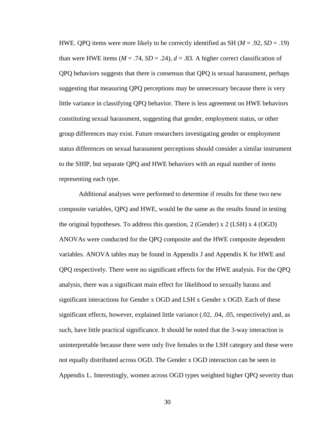HWE. QPQ items were more likely to be correctly identified as SH (*M* = .92, *SD* = .19) than were HWE items  $(M = .74, SD = .24)$ ,  $d = .83$ . A higher correct classification of QPQ behaviors suggests that there is consensus that QPQ is sexual harassment, perhaps suggesting that measuring QPQ perceptions may be unnecessary because there is very little variance in classifying QPQ behavior. There is less agreement on HWE behaviors constituting sexual harassment, suggesting that gender, employment status, or other group differences may exist. Future researchers investigating gender or employment status differences on sexual harassment perceptions should consider a similar instrument to the SHIP, but separate QPQ and HWE behaviors with an equal number of items representing each type.

Additional analyses were performed to determine if results for these two new composite variables, QPQ and HWE, would be the same as the results found in testing the original hypotheses. To address this question, 2 (Gender) x 2 (LSH) x 4 (OGD) ANOVAs were conducted for the QPQ composite and the HWE composite dependent variables. ANOVA tables may be found in Appendix J and Appendix K for HWE and QPQ respectively. There were no significant effects for the HWE analysis. For the QPQ analysis, there was a significant main effect for likelihood to sexually harass and significant interactions for Gender x OGD and LSH x Gender x OGD. Each of these significant effects, however, explained little variance (.02, .04, .05, respectively) and, as such, have little practical significance. It should be noted that the 3-way interaction is uninterpretable because there were only five females in the LSH category and these were not equally distributed across OGD. The Gender x OGD interaction can be seen in Appendix L. Interestingly, women across OGD types weighted higher QPQ severity than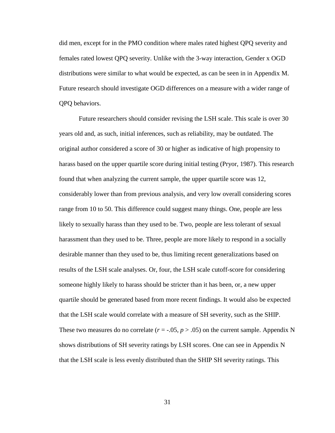did men, except for in the PMO condition where males rated highest QPQ severity and females rated lowest QPQ severity. Unlike with the 3-way interaction, Gender x OGD distributions were similar to what would be expected, as can be seen in in Appendix M. Future research should investigate OGD differences on a measure with a wider range of QPQ behaviors.

Future researchers should consider revising the LSH scale. This scale is over 30 years old and, as such, initial inferences, such as reliability, may be outdated. The original author considered a score of 30 or higher as indicative of high propensity to harass based on the upper quartile score during initial testing (Pryor, 1987). This research found that when analyzing the current sample, the upper quartile score was 12, considerably lower than from previous analysis, and very low overall considering scores range from 10 to 50. This difference could suggest many things. One, people are less likely to sexually harass than they used to be. Two, people are less tolerant of sexual harassment than they used to be. Three, people are more likely to respond in a socially desirable manner than they used to be, thus limiting recent generalizations based on results of the LSH scale analyses. Or, four, the LSH scale cutoff-score for considering someone highly likely to harass should be stricter than it has been, or, a new upper quartile should be generated based from more recent findings. It would also be expected that the LSH scale would correlate with a measure of SH severity, such as the SHIP. These two measures do no correlate  $(r = .05, p > .05)$  on the current sample. Appendix N shows distributions of SH severity ratings by LSH scores. One can see in Appendix N that the LSH scale is less evenly distributed than the SHIP SH severity ratings. This

31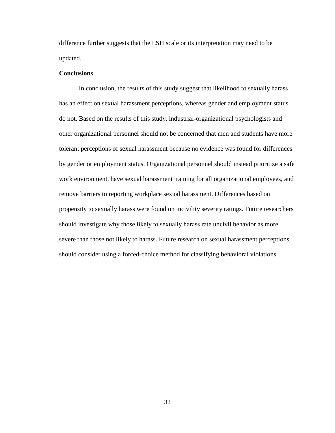difference further suggests that the LSH scale or its interpretation may need to be updated.

# **Conclusions**

In conclusion, the results of this study suggest that likelihood to sexually harass has an effect on sexual harassment perceptions, whereas gender and employment status do not. Based on the results of this study, industrial-organizational psychologists and other organizational personnel should not be concerned that men and students have more tolerant perceptions of sexual harassment because no evidence was found for differences by gender or employment status. Organizational personnel should instead prioritize a safe work environment, have sexual harassment training for all organizational employees, and remove barriers to reporting workplace sexual harassment. Differences based on propensity to sexually harass were found on incivility severity ratings. Future researchers should investigate why those likely to sexually harass rate uncivil behavior as more severe than those not likely to harass. Future research on sexual harassment perceptions should consider using a forced-choice method for classifying behavioral violations.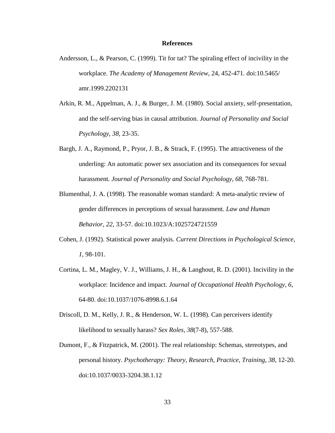## **References**

- Andersson, L., & Pearson, C. (1999). Tit for tat? The spiraling effect of incivility in the workplace. *The Academy of Management Review*, 24, 452-471. doi:10.5465/ amr.1999.2202131
- Arkin, R. M., Appelman, A. J., & Burger, J. M. (1980). Social anxiety, self-presentation, and the self-serving bias in causal attribution. *Journal of Personality and Social Psychology, 38*, 23-35.
- Bargh, J. A., Raymond, P., Pryor, J. B., & Strack, F. (1995). The attractiveness of the underling: An automatic power sex association and its consequences for sexual harassment. *Journal of Personality and Social Psychology, 68*, 768-781.
- Blumenthal, J. A. (1998). The reasonable woman standard: A meta-analytic review of gender differences in perceptions of sexual harassment. *Law and Human Behavior*, *22*, 33-57. doi:10.1023/A:1025724721559
- Cohen, J. (1992). Statistical power analysis. *Current Directions in Psychological Science, 1,* 98-101.
- Cortina, L. M., Magley, V. J., Williams, J. H., & Langhout, R. D. (2001). Incivility in the workplace: Incidence and impact. *Journal of Occupational Health Psychology*, *6*, 64-80. doi:10.1037/1076-8998.6.1.64
- Driscoll, D. M., Kelly, J. R., & Henderson, W. L. (1998). Can perceivers identify likelihood to sexually harass? *Sex Roles, 38*(7-8), 557-588.
- Dumont, F., & Fitzpatrick, M. (2001). The real relationship: Schemas, stereotypes, and personal history. *Psychotherapy: Theory, Research, Practice, Training*, *38*, 12-20. doi:10.1037/0033-3204.38.1.12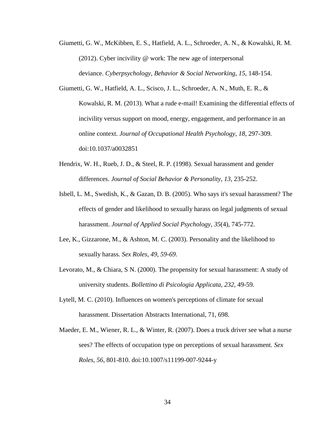- Giumetti, G. W., McKibben, E. S., Hatfield, A. L., Schroeder, A. N., & Kowalski, R. M. (2012). Cyber incivility @ work: The new age of interpersonal deviance. *Cyberpsychology, Behavior & Social Networking*, *15*, 148-154.
- Giumetti, G. W., Hatfield, A. L., Scisco, J. L., Schroeder, A. N., Muth, E. R., & Kowalski, R. M. (2013). What a rude e-mail! Examining the differential effects of incivility versus support on mood, energy, engagement, and performance in an online context. *Journal of Occupational Health Psychology*, *18*, 297-309. doi:10.1037/a0032851
- Hendrix, W. H., Rueb, J. D., & Steel, R. P. (1998). Sexual harassment and gender differences. *Journal of Social Behavior & Personality*, *13*, 235-252.
- Isbell, L. M., Swedish, K., & Gazan, D. B. (2005). Who says it's sexual harassment? The effects of gender and likelihood to sexually harass on legal judgments of sexual harassment. *Journal of Applied Social Psychology*, *35*(4), 745-772.
- Lee, K., Gizzarone, M., & Ashton, M. C. (2003). Personality and the likelihood to sexually harass. *Sex Roles, 49, 59-69.*
- Levorato, M., & Chiara, S N. (2000). The propensity for sexual harassment: A study of university students. *Bollettino di Psicologia Applicata, 232,* 49-59*.*
- Lytell, M. C. (2010). Influences on women's perceptions of climate for sexual harassment. Dissertation Abstracts International, 71, 698.
- Maeder, E. M., Wiener, R. L., & Winter, R. (2007). Does a truck driver see what a nurse sees? The effects of occupation type on perceptions of sexual harassment. *Sex Roles*, *56*, 801-810. doi:10.1007/s11199-007-9244-y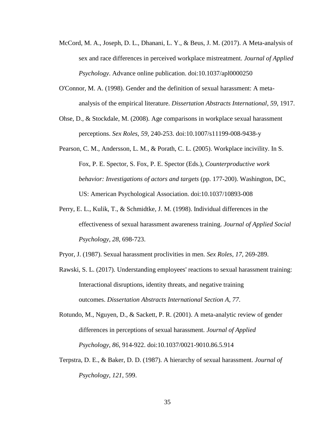- McCord, M. A., Joseph, D. L., Dhanani, L. Y., & Beus, J. M. (2017). A Meta-analysis of sex and race differences in perceived workplace mistreatment. *Journal of Applied Psychology*. Advance online publication. doi:10.1037/apl0000250
- O'Connor, M. A. (1998). Gender and the definition of sexual harassment: A metaanalysis of the empirical literature. *Dissertation Abstracts International*, *59*, 1917.
- Ohse, D., & Stockdale, M. (2008). Age comparisons in workplace sexual harassment perceptions. *Sex Roles*, *59,* 240-253. doi:10.1007/s11199-008-9438-y
- Pearson, C. M., Andersson, L. M., & Porath, C. L. (2005). Workplace incivility. In S. Fox, P. E. Spector, S. Fox, P. E. Spector (Eds.), *Counterproductive work behavior: Investigations of actors and targets* (pp. 177-200). Washington, DC, US: American Psychological Association. doi:10.1037/10893-008
- Perry, E. L., Kulik, T., & Schmidtke, J. M. (1998). Individual differences in the effectiveness of sexual harassment awareness training. *Journal of Applied Social Psychology, 28*, 698-723.
- Pryor, J. (1987). Sexual harassment proclivities in men. *Sex Roles, 17*, 269-289.
- Rawski, S. L. (2017). Understanding employees' reactions to sexual harassment training: Interactional disruptions, identity threats, and negative training outcomes. *Dissertation Abstracts International Section A*, *77*.
- Rotundo, M., Nguyen, D., & Sackett, P. R. (2001). A meta-analytic review of gender differences in perceptions of sexual harassment. *Journal of Applied Psychology*, *86*, 914-922. doi:10.1037/0021-9010.86.5.914
- Terpstra, D. E., & Baker, D. D. (1987). A hierarchy of sexual harassment. *Journal of Psychology*, *121*, 599.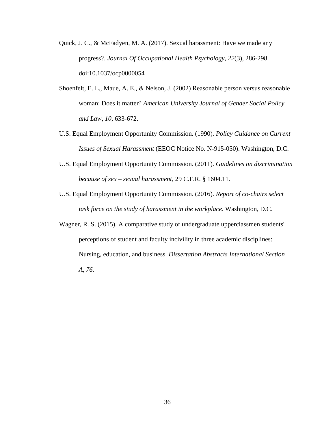- Quick, J. C., & McFadyen, M. A. (2017). Sexual harassment: Have we made any progress?. *Journal Of Occupational Health Psychology*, *22*(3), 286-298. doi:10.1037/ocp0000054
- Shoenfelt, E. L., Maue, A. E., & Nelson, J. (2002) Reasonable person versus reasonable woman: Does it matter? *American University Journal of Gender Social Policy and Law*, *10*, 633-672.
- U.S. Equal Employment Opportunity Commission. (1990). *Policy Guidance on Current Issues of Sexual Harassment* (EEOC Notice No. N-915-050). Washington, D.C.
- U.S. Equal Employment Opportunity Commission. (2011). *Guidelines on discrimination because of sex – sexual harassment*, 29 C.F.R. § 1604.11.
- U.S. Equal Employment Opportunity Commission. (2016). *Report of co-chairs select task force on the study of harassment in the workplace.* Washington, D.C.
- Wagner, R. S. (2015). A comparative study of undergraduate upperclassmen students' perceptions of student and faculty incivility in three academic disciplines: Nursing, education, and business. *Dissertation Abstracts International Section A*, *76*.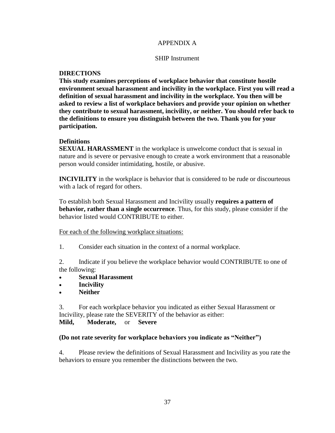# APPENDIX A

# SHIP Instrument

# **DIRECTIONS**

**This study examines perceptions of workplace behavior that constitute hostile environment sexual harassment and incivility in the workplace. First you will read a definition of sexual harassment and incivility in the workplace. You then will be asked to review a list of workplace behaviors and provide your opinion on whether they contribute to sexual harassment, incivility, or neither. You should refer back to the definitions to ensure you distinguish between the two. Thank you for your participation.** 

# **Definitions**

**SEXUAL HARASSMENT** in the workplace is unwelcome conduct that is sexual in nature and is severe or pervasive enough to create a work environment that a reasonable person would consider intimidating, hostile, or abusive.

**INCIVILITY** in the workplace is behavior that is considered to be rude or discourteous with a lack of regard for others.

To establish both Sexual Harassment and Incivility usually **requires a pattern of behavior, rather than a single occurrence**. Thus, for this study, please consider if the behavior listed would CONTRIBUTE to either.

For each of the following workplace situations:

1. Consider each situation in the context of a normal workplace.

2. Indicate if you believe the workplace behavior would CONTRIBUTE to one of the following:

- **Sexual Harassment**
- **Incivility**
- **Neither**

3. For each workplace behavior you indicated as either Sexual Harassment or Incivility, please rate the SEVERITY of the behavior as either: **Mild, Moderate,** or **Severe**

# **(Do not rate severity for workplace behaviors you indicate as "Neither")**

4. Please review the definitions of Sexual Harassment and Incivility as you rate the behaviors to ensure you remember the distinctions between the two.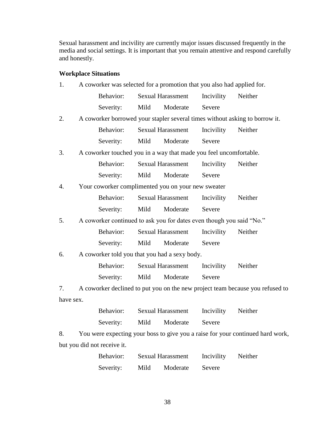Sexual harassment and incivility are currently major issues discussed frequently in the media and social settings. It is important that you remain attentive and respond carefully and honestly.

# **Workplace Situations**

| 1.        | A coworker was selected for a promotion that you also had applied for. |                                                                      |      |                          |            |                                                                               |
|-----------|------------------------------------------------------------------------|----------------------------------------------------------------------|------|--------------------------|------------|-------------------------------------------------------------------------------|
|           |                                                                        | Behavior:                                                            |      | <b>Sexual Harassment</b> | Incivility | Neither                                                                       |
|           |                                                                        | Severity:                                                            | Mild | Moderate                 | Severe     |                                                                               |
| 2.        |                                                                        |                                                                      |      |                          |            | A coworker borrowed your stapler several times without asking to borrow it.   |
|           |                                                                        | Behavior:                                                            |      | <b>Sexual Harassment</b> | Incivility | Neither                                                                       |
|           |                                                                        | Severity:                                                            | Mild | Moderate                 | Severe     |                                                                               |
| 3.        |                                                                        | A coworker touched you in a way that made you feel uncomfortable.    |      |                          |            |                                                                               |
|           |                                                                        | Behavior:                                                            |      | <b>Sexual Harassment</b> | Incivility | Neither                                                                       |
|           |                                                                        | Severity:                                                            | Mild | Moderate                 | Severe     |                                                                               |
| 4.        |                                                                        | Your coworker complimented you on your new sweater                   |      |                          |            |                                                                               |
|           |                                                                        | Behavior:                                                            |      | <b>Sexual Harassment</b> | Incivility | Neither                                                                       |
|           |                                                                        | Severity:                                                            | Mild | Moderate                 | Severe     |                                                                               |
| 5.        |                                                                        | A coworker continued to ask you for dates even though you said "No." |      |                          |            |                                                                               |
|           |                                                                        | Behavior:                                                            |      | <b>Sexual Harassment</b> | Incivility | Neither                                                                       |
|           |                                                                        | Severity:                                                            | Mild | Moderate                 | Severe     |                                                                               |
| 6.        |                                                                        | A coworker told you that you had a sexy body.                        |      |                          |            |                                                                               |
|           |                                                                        | Behavior:                                                            |      | <b>Sexual Harassment</b> | Incivility | Neither                                                                       |
|           |                                                                        | Severity:                                                            | Mild | Moderate                 | Severe     |                                                                               |
| 7.        |                                                                        |                                                                      |      |                          |            | A coworker declined to put you on the new project team because you refused to |
| have sex. |                                                                        |                                                                      |      |                          |            |                                                                               |
|           |                                                                        | Behavior:                                                            |      | <b>Sexual Harassment</b> | Incivility | Neither                                                                       |
|           |                                                                        | Severity:                                                            | Mild | Moderate                 | Severe     |                                                                               |

8. You were expecting your boss to give you a raise for your continued hard work, but you did not receive it.

| Behavior: |      | <b>Sexual Harassment</b> | Incivility | Neither |
|-----------|------|--------------------------|------------|---------|
| Severity: | Mild | Moderate                 | Severe     |         |

38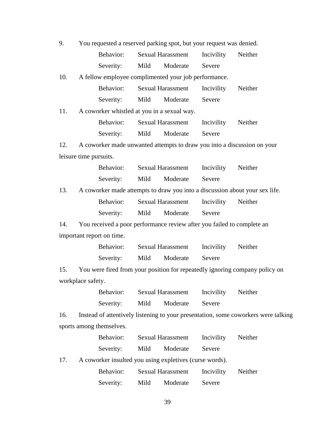9. You requested a reserved parking spot, but your request was denied. Behavior: Sexual Harassment Incivility Neither

Severity: Mild Moderate Severe

10. A fellow employee complimented your job performance.

| Behavior: |      | <b>Sexual Harassment</b> | Incivility | Neither |
|-----------|------|--------------------------|------------|---------|
| Severity: | Mild | Moderate                 | Severe     |         |

11. A coworker whistled at you in a sexual way.

| Behavior: |      | <b>Sexual Harassment</b> | Incivility | Neither |
|-----------|------|--------------------------|------------|---------|
| Severity: | Mild | Moderate                 | Severe     |         |

12. A coworker made unwanted attempts to draw you into a discussion on your leisure time pursuits.

|     |                                                                             | Behavior: Sexual Harassment Incivility Neither |  |         |
|-----|-----------------------------------------------------------------------------|------------------------------------------------|--|---------|
|     |                                                                             | Severity: Mild Moderate Severe                 |  |         |
| 13. | A coworker made attempts to draw you into a discussion about your sex life. |                                                |  |         |
|     |                                                                             | Behavior: Sexual Harassment Incivility         |  | Neither |
|     |                                                                             |                                                |  |         |

Severity: Mild Moderate Severe

14. You received a poor performance review after you failed to complete an important report on time.

| Behavior: | <b>Sexual Harassment</b> |          | Incivility | Neither |
|-----------|--------------------------|----------|------------|---------|
| Severity: | Mild                     | Moderate | Severe     |         |

15. You were fired from your position for repeatedly ignoring company policy on workplace safety.

| Behavior: |      | <b>Sexual Harassment</b> | Incivility | Neither |  |
|-----------|------|--------------------------|------------|---------|--|
| Severity: | Mild | Moderate                 | Severe     |         |  |

16. Instead of attentively listening to your presentation, some coworkers were talking sports among themselves.

| Behavior: |      | <b>Sexual Harassment</b> | Incivility | Neither |
|-----------|------|--------------------------|------------|---------|
| Severity: | Mild | Moderate                 | Severe     |         |

17. A coworker insulted you using expletives (curse words).

| Behavior: |      | <b>Sexual Harassment</b> | Incivility | Neither |
|-----------|------|--------------------------|------------|---------|
| Severity: | Mild | Moderate                 | Severe     |         |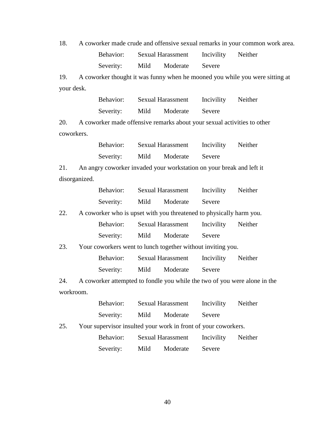18. A coworker made crude and offensive sexual remarks in your common work area. Behavior: Sexual Harassment Incivility Neither Severity: Mild Moderate Severe

19. A coworker thought it was funny when he mooned you while you were sitting at your desk.

|     |               | Behavior:                                                               |      | <b>Sexual Harassment</b> | Incivility | Neither                                                                   |
|-----|---------------|-------------------------------------------------------------------------|------|--------------------------|------------|---------------------------------------------------------------------------|
|     |               | Severity:                                                               | Mild | Moderate                 | Severe     |                                                                           |
| 20. |               | A coworker made offensive remarks about your sexual activities to other |      |                          |            |                                                                           |
|     | coworkers.    |                                                                         |      |                          |            |                                                                           |
|     |               | Behavior: Sexual Harassment                                             |      |                          | Incivility | Neither                                                                   |
|     |               | Severity:                                                               | Mild | Moderate                 | Severe     |                                                                           |
| 21. |               | An angry coworker invaded your workstation on your break and left it    |      |                          |            |                                                                           |
|     | disorganized. |                                                                         |      |                          |            |                                                                           |
|     |               | Behavior: Sexual Harassment                                             |      |                          | Incivility | Neither                                                                   |
|     |               | Severity:                                                               | Mild | Moderate                 | Severe     |                                                                           |
| 22. |               | A coworker who is upset with you threatened to physically harm you.     |      |                          |            |                                                                           |
|     |               | Behavior:                                                               |      | <b>Sexual Harassment</b> | Incivility | Neither                                                                   |
|     |               | Severity:                                                               | Mild | Moderate                 | Severe     |                                                                           |
| 23. |               | Your coworkers went to lunch together without inviting you.             |      |                          |            |                                                                           |
|     |               | Behavior:                                                               |      | <b>Sexual Harassment</b> | Incivility | Neither                                                                   |
|     |               | Severity:                                                               | Mild | Moderate                 | Severe     |                                                                           |
| 24. |               |                                                                         |      |                          |            | A coworker attempted to fondle you while the two of you were alone in the |
|     | workroom.     |                                                                         |      |                          |            |                                                                           |
|     |               | Behavior: Sexual Harassment                                             |      |                          | Incivility | Neither                                                                   |
|     |               | Severity:                                                               | Mild | Moderate                 | Severe     |                                                                           |
| 25. |               | Your supervisor insulted your work in front of your coworkers.          |      |                          |            |                                                                           |
|     |               | Behavior:                                                               |      | <b>Sexual Harassment</b> | Incivility | Neither                                                                   |

Severity: Mild Moderate Severe

40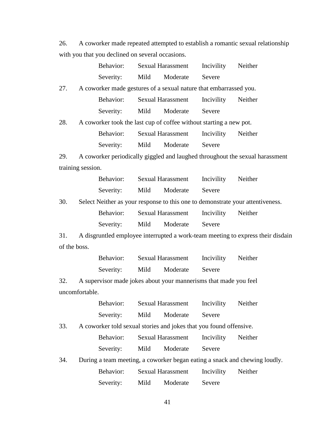26. A coworker made repeated attempted to establish a romantic sexual relationship with you that you declined on several occasions.

|              |                   | Behavior: |      | Sexual Harassment                                                  | Incivility | Neither                                                                         |
|--------------|-------------------|-----------|------|--------------------------------------------------------------------|------------|---------------------------------------------------------------------------------|
|              |                   | Severity: | Mild | Moderate                                                           | Severe     |                                                                                 |
| 27.          |                   |           |      | A coworker made gestures of a sexual nature that embarrassed you.  |            |                                                                                 |
|              |                   | Behavior: |      | <b>Sexual Harassment</b>                                           | Incivility | Neither                                                                         |
|              |                   | Severity: | Mild | Moderate                                                           | Severe     |                                                                                 |
| 28.          |                   |           |      | A coworker took the last cup of coffee without starting a new pot. |            |                                                                                 |
|              |                   | Behavior: |      | <b>Sexual Harassment</b>                                           | Incivility | Neither                                                                         |
|              |                   | Severity: | Mild | Moderate                                                           | Severe     |                                                                                 |
| 29.          |                   |           |      |                                                                    |            | A coworker periodically giggled and laughed throughout the sexual harassment    |
|              | training session. |           |      |                                                                    |            |                                                                                 |
|              |                   | Behavior: |      | <b>Sexual Harassment</b>                                           | Incivility | Neither                                                                         |
|              |                   | Severity: | Mild | Moderate                                                           | Severe     |                                                                                 |
| 30.          |                   |           |      |                                                                    |            | Select Neither as your response to this one to demonstrate your attentiveness.  |
|              |                   | Behavior: |      | <b>Sexual Harassment</b>                                           | Incivility | Neither                                                                         |
|              |                   | Severity: | Mild | Moderate                                                           | Severe     |                                                                                 |
| 31.          |                   |           |      |                                                                    |            | A disgruntled employee interrupted a work-team meeting to express their disdain |
| of the boss. |                   |           |      |                                                                    |            |                                                                                 |
|              |                   | Behavior: |      | <b>Sexual Harassment</b>                                           | Incivility | Neither                                                                         |
|              |                   | Severity: | Mild | Moderate                                                           | Severe     |                                                                                 |
| 32.          |                   |           |      | A supervisor made jokes about your mannerisms that made you feel   |            |                                                                                 |
|              | uncomfortable.    |           |      |                                                                    |            |                                                                                 |
|              |                   | Behavior: |      | <b>Sexual Harassment</b>                                           | Incivility | Neither                                                                         |
|              |                   | Severity: | Mild | Moderate                                                           | Severe     |                                                                                 |
| 33.          |                   |           |      | A coworker told sexual stories and jokes that you found offensive. |            |                                                                                 |
|              |                   | Behavior: |      | <b>Sexual Harassment</b>                                           | Incivility | Neither                                                                         |
|              |                   | Severity: | Mild | Moderate                                                           | Severe     |                                                                                 |
|              |                   |           |      |                                                                    |            |                                                                                 |

| 34. During a team meeting, a coworker began eating a snack and chewing loudly. |  |          |                    |  |  |  |
|--------------------------------------------------------------------------------|--|----------|--------------------|--|--|--|
| Behavior: Sexual Harassment                                                    |  |          | Incivility Neither |  |  |  |
| Severity: Mild                                                                 |  | Moderate | Severe             |  |  |  |

41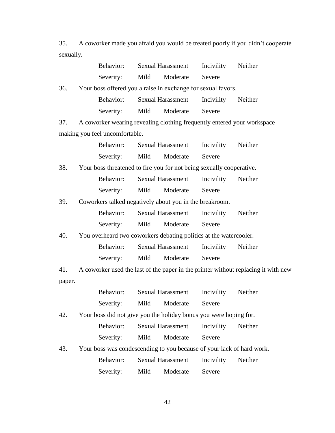35. A coworker made you afraid you would be treated poorly if you didn't cooperate sexually.

|        | Behavior:                      | <b>Sexual Harassment</b>                                                           | Incivility | Neither |
|--------|--------------------------------|------------------------------------------------------------------------------------|------------|---------|
|        | Severity:                      | Moderate<br>Mild                                                                   | Severe     |         |
| 36.    |                                | Your boss offered you a raise in exchange for sexual favors.                       |            |         |
|        | Behavior:                      | <b>Sexual Harassment</b>                                                           | Incivility | Neither |
|        | Severity:                      | Mild<br>Moderate                                                                   | Severe     |         |
| 37.    |                                | A coworker wearing revealing clothing frequently entered your workspace            |            |         |
|        | making you feel uncomfortable. |                                                                                    |            |         |
|        | Behavior:                      | <b>Sexual Harassment</b>                                                           | Incivility | Neither |
|        | Severity:                      | Moderate<br>Mild                                                                   | Severe     |         |
| 38.    |                                | Your boss threatened to fire you for not being sexually cooperative.               |            |         |
|        | Behavior:                      | <b>Sexual Harassment</b>                                                           | Incivility | Neither |
|        | Severity:                      | Mild<br>Moderate                                                                   | Severe     |         |
| 39.    |                                | Coworkers talked negatively about you in the breakroom.                            |            |         |
|        | Behavior:                      | <b>Sexual Harassment</b>                                                           | Incivility | Neither |
|        | Severity:                      | Mild<br>Moderate                                                                   | Severe     |         |
| 40.    |                                | You overheard two coworkers debating politics at the watercooler.                  |            |         |
|        | Behavior:                      | <b>Sexual Harassment</b>                                                           | Incivility | Neither |
|        | Severity:                      | Mild<br>Moderate                                                                   | Severe     |         |
| 41.    |                                | A coworker used the last of the paper in the printer without replacing it with new |            |         |
| paper. |                                |                                                                                    |            |         |
|        | Behavior:                      | <b>Sexual Harassment</b>                                                           | Incivility | Neither |
|        | Severity:                      | Mild<br>Moderate                                                                   | Severe     |         |
| 42.    |                                | Your boss did not give you the holiday bonus you were hoping for.                  |            |         |
|        | Behavior:                      | <b>Sexual Harassment</b>                                                           | Incivility | Neither |
|        | Severity:                      | Mild<br>Moderate                                                                   | Severe     |         |
| 43.    |                                | Your boss was condescending to you because of your lack of hard work.              |            |         |
|        | Behavior:                      | <b>Sexual Harassment</b>                                                           | Incivility | Neither |
|        | Severity:                      | Mild<br>Moderate                                                                   | Severe     |         |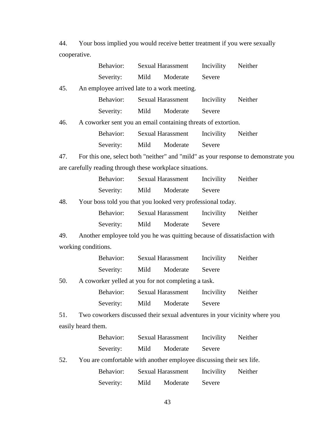44. Your boss implied you would receive better treatment if you were sexually cooperative.

|     | Behavior:           | <b>Sexual Harassment</b>                                                           | Incivility | Neither |
|-----|---------------------|------------------------------------------------------------------------------------|------------|---------|
|     | Severity:           | Moderate<br>Mild                                                                   | Severe     |         |
| 45. |                     | An employee arrived late to a work meeting.                                        |            |         |
|     | Behavior:           | Sexual Harassment                                                                  | Incivility | Neither |
|     | Severity:           | Mild<br>Moderate                                                                   | Severe     |         |
| 46. |                     | A coworker sent you an email containing threats of extortion.                      |            |         |
|     | Behavior:           | <b>Sexual Harassment</b>                                                           | Incivility | Neither |
|     | Severity:           | Mild<br>Moderate                                                                   | Severe     |         |
| 47. |                     | For this one, select both "neither" and "mild" as your response to demonstrate you |            |         |
|     |                     | are carefully reading through these workplace situations.                          |            |         |
|     | Behavior:           | <b>Sexual Harassment</b>                                                           | Incivility | Neither |
|     | Severity:           | Moderate<br>Mild                                                                   | Severe     |         |
| 48. |                     | Your boss told you that you looked very professional today.                        |            |         |
|     | Behavior:           | <b>Sexual Harassment</b>                                                           | Incivility | Neither |
|     | Severity:           | Mild<br>Moderate                                                                   | Severe     |         |
| 49. |                     | Another employee told you he was quitting because of dissatisfaction with          |            |         |
|     | working conditions. |                                                                                    |            |         |
|     | Behavior:           | <b>Sexual Harassment</b>                                                           | Incivility | Neither |
|     | Severity:           | Mild<br>Moderate                                                                   | Severe     |         |
| 50. |                     | A coworker yelled at you for not completing a task.                                |            |         |
|     | Behavior:           | <b>Sexual Harassment</b>                                                           | Incivility | Neither |
|     | Severity:           | Mild<br>Moderate                                                                   | Severe     |         |
| 51. |                     | Two coworkers discussed their sexual adventures in your vicinity where you         |            |         |
|     | easily heard them.  |                                                                                    |            |         |
|     | Behavior:           | Sexual Harassment                                                                  | Incivility | Neither |
|     | Severity:           | Moderate<br>Mild                                                                   | Severe     |         |
| 52. |                     | You are comfortable with another employee discussing their sex life.               |            |         |

| Behavior: |      | <b>Sexual Harassment</b> | Incivility | Neither |
|-----------|------|--------------------------|------------|---------|
| Severity: | Mild | Moderate                 | Severe     |         |

43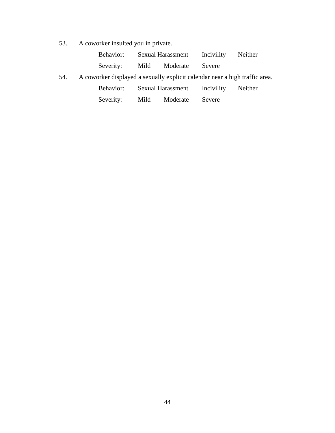53. A coworker insulted you in private.

| Behavior: | <b>Sexual Harassment</b> |          | Incivility | Neither |
|-----------|--------------------------|----------|------------|---------|
| Severity: | Mild                     | Moderate | Severe     |         |

54. A coworker displayed a sexually explicit calendar near a high traffic area.

| <b>Sexual Harassment</b><br>Behavior: | Incivility | Neither |
|---------------------------------------|------------|---------|
|---------------------------------------|------------|---------|

| Severity: | Mild | Moderate | Severe |  |
|-----------|------|----------|--------|--|
|-----------|------|----------|--------|--|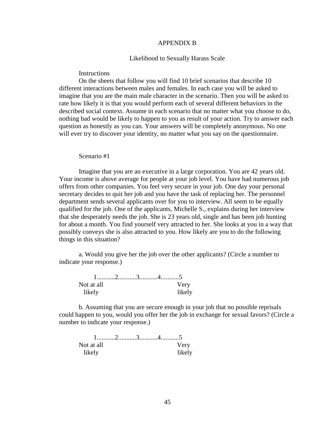#### APPENDIX B

#### Likelihood to Sexually Harass Scale

# **Instructions**

On the sheets that follow you will find 10 brief scenarios that describe 10 different interactions between males and females. In each case you will be asked to imagine that you are the main male character in the scenario. Then you will be asked to rate how likely it is that you would perform each of several different behaviors in the described social context. Assume in each scenario that no matter what you choose to do, nothing bad would be likely to happen to you as result of your action. Try to answer each question as honestly as you can. Your answers will be completely anonymous. No one will ever try to discover your identity, no matter what you say on the questionnaire.

#### Scenario #1

Imagine that you are an executive in a large corporation. You are 42 years old. Your income is above average for people at your job level. You have had numerous job offers from other companies. You feel very secure in your job. One day your personal secretary decides to quit her job and you have the task of replacing her. The personnel department sends several applicants over for you to interview. All seem to be equally qualified for the job. One of the applicants, Michelle S., explains during her interview that she desperately needs the job. She is 23 years old, single and has been job hunting for about a month. You find yourself very attracted to her. She looks at you in a way that possibly conveys she is also attracted to you. How likely are you to do the following things in this situation?

a. Would you give her the job over the other applicants? (Circle a number to indicate your response.)

| Not at all |  | Very   |
|------------|--|--------|
| likely     |  | likely |

b. Assuming that you are secure enough in your job that no possible reprisals could happen to you, would you offer her the job in exchange for sexual favors? (Circle a number to indicate your response.)

| Not at all |  | Very   |
|------------|--|--------|
| likely     |  | likely |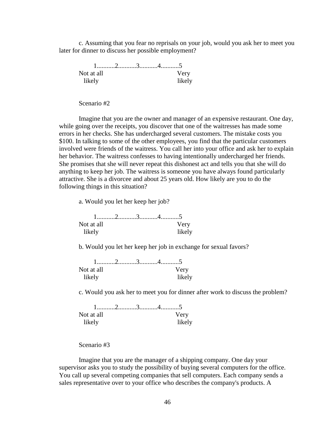c. Assuming that you fear no reprisals on your job, would you ask her to meet you later for dinner to discuss her possible employment?

| Not at all |  | Very   |
|------------|--|--------|
| likely     |  | likely |

Scenario #2

Imagine that you are the owner and manager of an expensive restaurant. One day, while going over the receipts, you discover that one of the waitresses has made some errors in her checks. She has undercharged several customers. The mistake costs you \$100. In talking to some of the other employees, you find that the particular customers involved were friends of the waitress. You call her into your office and ask her to explain her behavior. The waitress confesses to having intentionally undercharged her friends. She promises that she will never repeat this dishonest act and tells you that she will do anything to keep her job. The waitress is someone you have always found particularly attractive. She is a divorcee and about 25 years old. How likely are you to do the following things in this situation?

a. Would you let her keep her job?

| Not at all |  | Verv   |
|------------|--|--------|
| likely     |  | likely |

b. Would you let her keep her job in exchange for sexual favors?

| Not at all |  | Very   |
|------------|--|--------|
| likely     |  | likely |

c. Would you ask her to meet you for dinner after work to discuss the problem?

| Not at all |  | Very   |
|------------|--|--------|
| likely     |  | likely |

#### Scenario #3

Imagine that you are the manager of a shipping company. One day your supervisor asks you to study the possibility of buying several computers for the office. You call up several competing companies that sell computers. Each company sends a sales representative over to your office who describes the company's products. A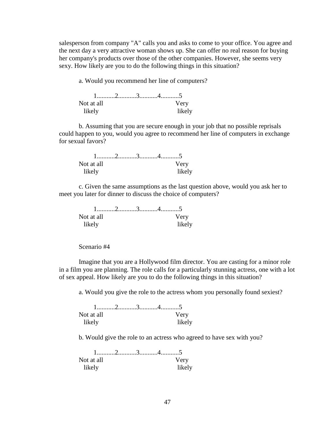salesperson from company "A" calls you and asks to come to your office. You agree and the next day a very attractive woman shows up. She can offer no real reason for buying her company's products over those of the other companies. However, she seems very sexy. How likely are you to do the following things in this situation?

a. Would you recommend her line of computers?

| Not at all |  | Very   |
|------------|--|--------|
| likely     |  | likely |

b. Assuming that you are secure enough in your job that no possible reprisals could happen to you, would you agree to recommend her line of computers in exchange for sexual favors?

| Not at all |  | Very   |
|------------|--|--------|
| likely     |  | likely |

c. Given the same assumptions as the last question above, would you ask her to meet you later for dinner to discuss the choice of computers?

| Not at all |  | Very   |
|------------|--|--------|
| likely     |  | likely |

Scenario #4

Imagine that you are a Hollywood film director. You are casting for a minor role in a film you are planning. The role calls for a particularly stunning actress, one with a lot of sex appeal. How likely are you to do the following things in this situation?

a. Would you give the role to the actress whom you personally found sexiest?

| Not at all |  | Verv   |
|------------|--|--------|
| likely     |  | likely |

b. Would give the role to an actress who agreed to have sex with you?

| Not at all |  | Very   |
|------------|--|--------|
| likely     |  | likely |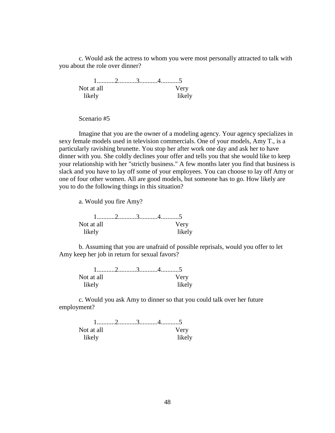c. Would ask the actress to whom you were most personally attracted to talk with you about the role over dinner?

 1...........2...........3...........4...........5 Not at all Very likely likely

Scenario #5

Imagine that you are the owner of a modeling agency. Your agency specializes in sexy female models used in television commercials. One of your models, Amy T., is a particularly ravishing brunette. You stop her after work one day and ask her to have dinner with you. She coldly declines your offer and tells you that she would like to keep your relationship with her "strictly business." A few months later you find that business is slack and you have to lay off some of your employees. You can choose to lay off Amy or one of four other women. All are good models, but someone has to go. How likely are you to do the following things in this situation?

a. Would you fire Amy?

| Not at all |  | Very   |
|------------|--|--------|
| likely     |  | likely |

b. Assuming that you are unafraid of possible reprisals, would you offer to let Amy keep her job in return for sexual favors?

| Not at all |  | Very   |
|------------|--|--------|
| likely     |  | likely |

c. Would you ask Amy to dinner so that you could talk over her future employment?

| Not at all |  | Very   |
|------------|--|--------|
| likely     |  | likely |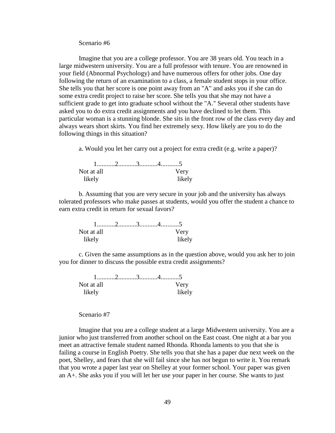Scenario #6

Imagine that you are a college professor. You are 38 years old. You teach in a large midwestern university. You are a full professor with tenure. You are renowned in your field (Abnormal Psychology) and have numerous offers for other jobs. One day following the return of an examination to a class, a female student stops in your office. She tells you that her score is one point away from an "A" and asks you if she can do some extra credit project to raise her score. She tells you that she may not have a sufficient grade to get into graduate school without the "A." Several other students have asked you to do extra credit assignments and you have declined to let them. This particular woman is a stunning blonde. She sits in the front row of the class every day and always wears short skirts. You find her extremely sexy. How likely are you to do the following things in this situation?

a. Would you let her carry out a project for extra credit (e.g. write a paper)?

| Not at all |  | Very   |
|------------|--|--------|
| likely     |  | likely |

b. Assuming that you are very secure in your job and the university has always tolerated professors who make passes at students, would you offer the student a chance to earn extra credit in return for sexual favors?

| Not at all |  | Very   |
|------------|--|--------|
| likely     |  | likely |

c. Given the same assumptions as in the question above, would you ask her to join you for dinner to discuss the possible extra credit assignments?

| Not at all |  | Very   |
|------------|--|--------|
| likely     |  | likely |

## Scenario #7

Imagine that you are a college student at a large Midwestern university. You are a junior who just transferred from another school on the East coast. One night at a bar you meet an attractive female student named Rhonda. Rhonda laments to you that she is failing a course in English Poetry. She tells you that she has a paper due next week on the poet, Shelley, and fears that she will fail since she has not begun to write it. You remark that you wrote a paper last year on Shelley at your former school. Your paper was given an A+. She asks you if you will let her use your paper in her course. She wants to just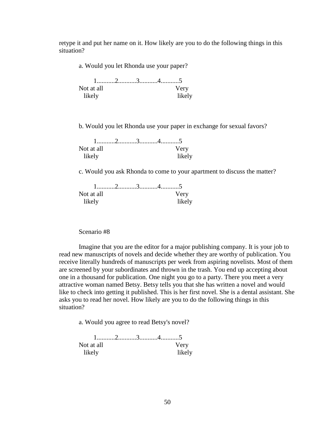retype it and put her name on it. How likely are you to do the following things in this situation?

a. Would you let Rhonda use your paper?

| Not at all |  | Very   |
|------------|--|--------|
| likelv     |  | likely |

b. Would you let Rhonda use your paper in exchange for sexual favors?

| Not at all |  | Very   |
|------------|--|--------|
| likely     |  | likely |

c. Would you ask Rhonda to come to your apartment to discuss the matter?

| Not at all |  | Very   |
|------------|--|--------|
| likely     |  | likely |

Scenario #8

Imagine that you are the editor for a major publishing company. It is your job to read new manuscripts of novels and decide whether they are worthy of publication. You receive literally hundreds of manuscripts per week from aspiring novelists. Most of them are screened by your subordinates and thrown in the trash. You end up accepting about one in a thousand for publication. One night you go to a party. There you meet a very attractive woman named Betsy. Betsy tells you that she has written a novel and would like to check into getting it published. This is her first novel. She is a dental assistant. She asks you to read her novel. How likely are you to do the following things in this situation?

a. Would you agree to read Betsy's novel?

| Not at all |  | Very   |
|------------|--|--------|
| likely     |  | likely |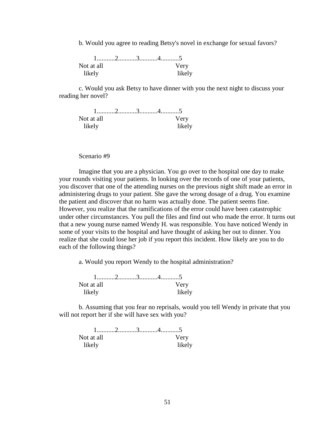b. Would you agree to reading Betsy's novel in exchange for sexual favors?

| Not at all |  | Very   |
|------------|--|--------|
| likely     |  | likely |

c. Would you ask Betsy to have dinner with you the next night to discuss your reading her novel?

| Not at all |  | Very   |
|------------|--|--------|
| likely     |  | likely |

Scenario #9

Imagine that you are a physician. You go over to the hospital one day to make your rounds visiting your patients. In looking over the records of one of your patients, you discover that one of the attending nurses on the previous night shift made an error in administering drugs to your patient. She gave the wrong dosage of a drug. You examine the patient and discover that no harm was actually done. The patient seems fine. However, you realize that the ramifications of the error could have been catastrophic under other circumstances. You pull the files and find out who made the error. It turns out that a new young nurse named Wendy H. was responsible. You have noticed Wendy in some of your visits to the hospital and have thought of asking her out to dinner. You realize that she could lose her job if you report this incident. How likely are you to do each of the following things?

a. Would you report Wendy to the hospital administration?

| Not at all |  | Very   |
|------------|--|--------|
| likely     |  | likely |

b. Assuming that you fear no reprisals, would you tell Wendy in private that you will not report her if she will have sex with you?

| Not at all |  | Verv   |
|------------|--|--------|
| likely     |  | likely |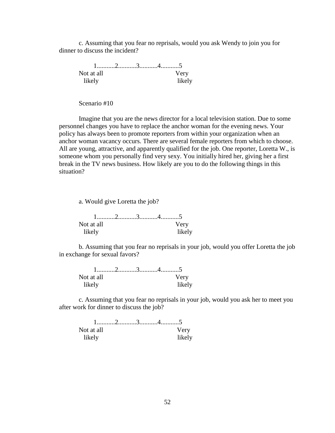c. Assuming that you fear no reprisals, would you ask Wendy to join you for dinner to discuss the incident?

 1...........2...........3...........4...........5 Not at all **Very** likely likely

Scenario #10

Imagine that you are the news director for a local television station. Due to some personnel changes you have to replace the anchor woman for the evening news. Your policy has always been to promote reporters from within your organization when an anchor woman vacancy occurs. There are several female reporters from which to choose. All are young, attractive, and apparently qualified for the job. One reporter, Loretta W., is someone whom you personally find very sexy. You initially hired her, giving her a first break in the TV news business. How likely are you to do the following things in this situation?

a. Would give Loretta the job?

| Not at all |  | Very   |
|------------|--|--------|
| likely     |  | likely |

b. Assuming that you fear no reprisals in your job, would you offer Loretta the job in exchange for sexual favors?

| Not at all |  | Verv   |
|------------|--|--------|
| likely     |  | likely |

c. Assuming that you fear no reprisals in your job, would you ask her to meet you after work for dinner to discuss the job?

| Not at all |  | Verv   |
|------------|--|--------|
| likely     |  | likely |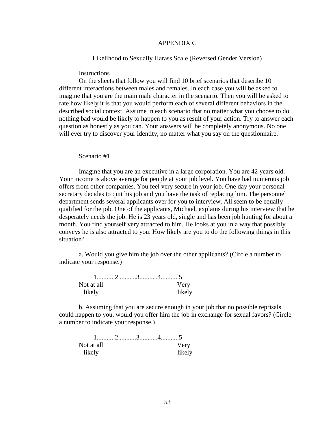# APPENDIX C

Likelihood to Sexually Harass Scale (Reversed Gender Version)

### **Instructions**

On the sheets that follow you will find 10 brief scenarios that describe 10 different interactions between males and females. In each case you will be asked to imagine that you are the main male character in the scenario. Then you will be asked to rate how likely it is that you would perform each of several different behaviors in the described social context. Assume in each scenario that no matter what you choose to do, nothing bad would be likely to happen to you as result of your action. Try to answer each question as honestly as you can. Your answers will be completely anonymous. No one will ever try to discover your identity, no matter what you say on the questionnaire.

#### Scenario #1

Imagine that you are an executive in a large corporation. You are 42 years old. Your income is above average for people at your job level. You have had numerous job offers from other companies. You feel very secure in your job. One day your personal secretary decides to quit his job and you have the task of replacing him. The personnel department sends several applicants over for you to interview. All seem to be equally qualified for the job. One of the applicants, Michael, explains during his interview that he desperately needs the job. He is 23 years old, single and has been job hunting for about a month. You find yourself very attracted to him. He looks at you in a way that possibly conveys he is also attracted to you. How likely are you to do the following things in this situation?

a. Would you give him the job over the other applicants? (Circle a number to indicate your response.)

| Not at all |  | Very   |
|------------|--|--------|
| likely     |  | likely |

b. Assuming that you are secure enough in your job that no possible reprisals could happen to you, would you offer him the job in exchange for sexual favors? (Circle a number to indicate your response.)

| Not at all |  | Very   |
|------------|--|--------|
| likely     |  | likely |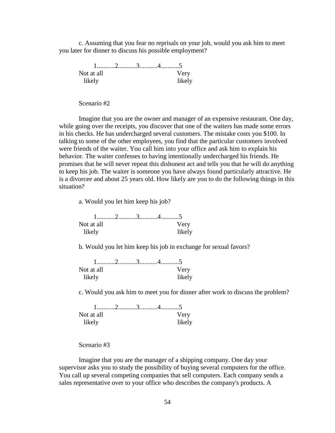c. Assuming that you fear no reprisals on your job, would you ask him to meet you later for dinner to discuss his possible employment?

 1...........2...........3...........4...........5 Not at all Very likely likely

Scenario #2

Imagine that you are the owner and manager of an expensive restaurant. One day, while going over the receipts, you discover that one of the waiters has made some errors in his checks. He has undercharged several customers. The mistake costs you \$100. In talking to some of the other employees, you find that the particular customers involved were friends of the waiter. You call him into your office and ask him to explain his behavior. The waiter confesses to having intentionally undercharged his friends. He promises that he will never repeat this dishonest act and tells you that he will do anything to keep his job. The waiter is someone you have always found particularly attractive. He is a divorcee and about 25 years old. How likely are you to do the following things in this situation?

a. Would you let him keep his job?

| Not at all |  | Very   |
|------------|--|--------|
| likely     |  | likely |

b. Would you let him keep his job in exchange for sexual favors?

| Not at all |  |  | Very   |
|------------|--|--|--------|
| likely     |  |  | likely |

c. Would you ask him to meet you for dinner after work to discuss the problem?

| Not at all |  | Verv   |
|------------|--|--------|
| likelv     |  | likely |

Scenario #3

Imagine that you are the manager of a shipping company. One day your supervisor asks you to study the possibility of buying several computers for the office. You call up several competing companies that sell computers. Each company sends a sales representative over to your office who describes the company's products. A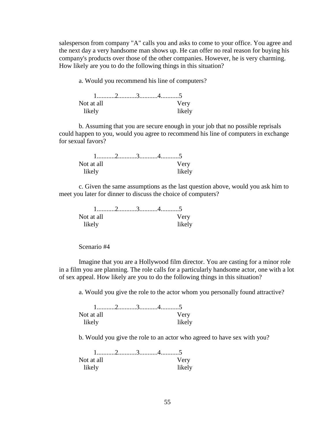salesperson from company "A" calls you and asks to come to your office. You agree and the next day a very handsome man shows up. He can offer no real reason for buying his company's products over those of the other companies. However, he is very charming. How likely are you to do the following things in this situation?

a. Would you recommend his line of computers?

| Not at all |  | Verv   |
|------------|--|--------|
| likelv     |  | likely |

b. Assuming that you are secure enough in your job that no possible reprisals could happen to you, would you agree to recommend his line of computers in exchange for sexual favors?

| Not at all |  | Verv   |
|------------|--|--------|
| likelv     |  | likely |

c. Given the same assumptions as the last question above, would you ask him to meet you later for dinner to discuss the choice of computers?

| Not at all |  | Very   |
|------------|--|--------|
| likely     |  | likely |

# Scenario #4

Imagine that you are a Hollywood film director. You are casting for a minor role in a film you are planning. The role calls for a particularly handsome actor, one with a lot of sex appeal. How likely are you to do the following things in this situation?

a. Would you give the role to the actor whom you personally found attractive?

| Not at all |  | Verv   |
|------------|--|--------|
| likelv     |  | likely |

b. Would you give the role to an actor who agreed to have sex with you?

| Not at all |  | Very   |
|------------|--|--------|
| likely     |  | likely |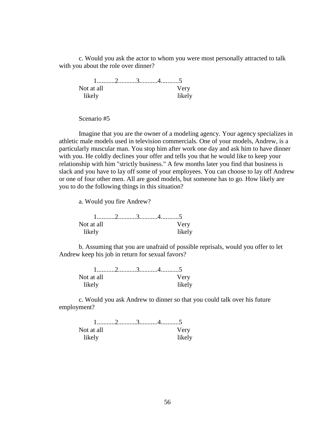c. Would you ask the actor to whom you were most personally attracted to talk with you about the role over dinner?

 1...........2...........3...........4...........5 Not at all Very likely likely

Scenario #5

Imagine that you are the owner of a modeling agency. Your agency specializes in athletic male models used in television commercials. One of your models, Andrew, is a particularly muscular man. You stop him after work one day and ask him to have dinner with you. He coldly declines your offer and tells you that he would like to keep your relationship with him "strictly business." A few months later you find that business is slack and you have to lay off some of your employees. You can choose to lay off Andrew or one of four other men. All are good models, but someone has to go. How likely are you to do the following things in this situation?

a. Would you fire Andrew?

| Not at all |  |  | Very   |
|------------|--|--|--------|
| likely     |  |  | likely |

b. Assuming that you are unafraid of possible reprisals, would you offer to let Andrew keep his job in return for sexual favors?

| Not at all |  | Very   |
|------------|--|--------|
| likelv     |  | likely |

c. Would you ask Andrew to dinner so that you could talk over his future employment?

| Not at all |  | Verv   |
|------------|--|--------|
| likelv     |  | likely |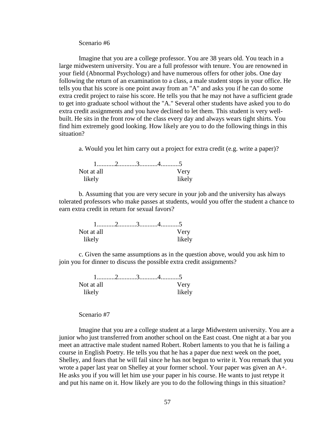Scenario #6

Imagine that you are a college professor. You are 38 years old. You teach in a large midwestern university. You are a full professor with tenure. You are renowned in your field (Abnormal Psychology) and have numerous offers for other jobs. One day following the return of an examination to a class, a male student stops in your office. He tells you that his score is one point away from an "A" and asks you if he can do some extra credit project to raise his score. He tells you that he may not have a sufficient grade to get into graduate school without the "A." Several other students have asked you to do extra credit assignments and you have declined to let them. This student is very wellbuilt. He sits in the front row of the class every day and always wears tight shirts. You find him extremely good looking. How likely are you to do the following things in this situation?

a. Would you let him carry out a project for extra credit (e.g. write a paper)?

| Not at all |  | Very   |
|------------|--|--------|
| likely     |  | likely |

b. Assuming that you are very secure in your job and the university has always tolerated professors who make passes at students, would you offer the student a chance to earn extra credit in return for sexual favors?

| Not at all |  | Very   |
|------------|--|--------|
| likely     |  | likely |

c. Given the same assumptions as in the question above, would you ask him to join you for dinner to discuss the possible extra credit assignments?

| Not at all |  | Very   |
|------------|--|--------|
| likely     |  | likely |

## Scenario #7

Imagine that you are a college student at a large Midwestern university. You are a junior who just transferred from another school on the East coast. One night at a bar you meet an attractive male student named Robert. Robert laments to you that he is failing a course in English Poetry. He tells you that he has a paper due next week on the poet, Shelley, and fears that he will fail since he has not begun to write it. You remark that you wrote a paper last year on Shelley at your former school. Your paper was given an A+. He asks you if you will let him use your paper in his course. He wants to just retype it and put his name on it. How likely are you to do the following things in this situation?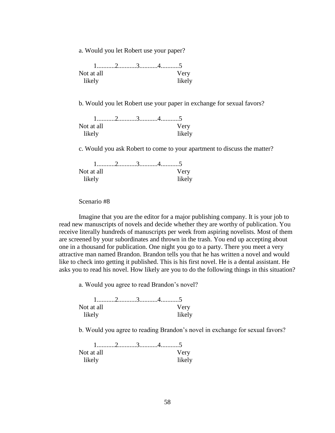a. Would you let Robert use your paper?

| Not at all |  | Very   |
|------------|--|--------|
| likely     |  | likely |

b. Would you let Robert use your paper in exchange for sexual favors?

| Not at all |  | Very   |
|------------|--|--------|
| likely     |  | likely |

c. Would you ask Robert to come to your apartment to discuss the matter?

| Not at all |  | Verv   |
|------------|--|--------|
| likely     |  | likely |

Scenario #8

Imagine that you are the editor for a major publishing company. It is your job to read new manuscripts of novels and decide whether they are worthy of publication. You receive literally hundreds of manuscripts per week from aspiring novelists. Most of them are screened by your subordinates and thrown in the trash. You end up accepting about one in a thousand for publication. One night you go to a party. There you meet a very attractive man named Brandon. Brandon tells you that he has written a novel and would like to check into getting it published. This is his first novel. He is a dental assistant. He asks you to read his novel. How likely are you to do the following things in this situation?

a. Would you agree to read Brandon's novel?

| Not at all |  | Very   |
|------------|--|--------|
| likelv     |  | likely |

b. Would you agree to reading Brandon's novel in exchange for sexual favors?

| Not at all |  | Very   |
|------------|--|--------|
| likely     |  | likely |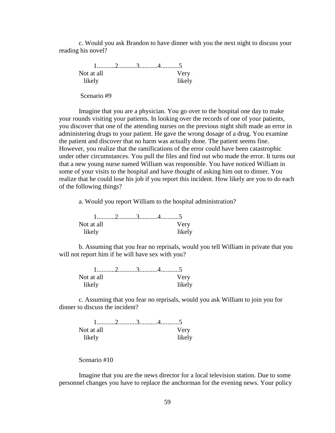c. Would you ask Brandon to have dinner with you the next night to discuss your reading his novel?

 1...........2...........3...........4...........5 Not at all Very likely likely Scenario #9

Imagine that you are a physician. You go over to the hospital one day to make your rounds visiting your patients. In looking over the records of one of your patients, you discover that one of the attending nurses on the previous night shift made an error in administering drugs to your patient. He gave the wrong dosage of a drug. You examine the patient and discover that no harm was actually done. The patient seems fine. However, you realize that the ramifications of the error could have been catastrophic under other circumstances. You pull the files and find out who made the error. It turns out that a new young nurse named William was responsible. You have noticed William in some of your visits to the hospital and have thought of asking him out to dinner. You realize that he could lose his job if you report this incident. How likely are you to do each of the following things?

a. Would you report William to the hospital administration?

| Not at all |  | Very   |
|------------|--|--------|
| likely     |  | likely |

b. Assuming that you fear no reprisals, would you tell William in private that you will not report him if he will have sex with you?

| Not at all |  | Very   |
|------------|--|--------|
| likelv     |  | likely |

c. Assuming that you fear no reprisals, would you ask William to join you for dinner to discuss the incident?

| Not at all |  | Very   |
|------------|--|--------|
| likely     |  | likely |

Scenario #10

Imagine that you are the news director for a local television station. Due to some personnel changes you have to replace the anchorman for the evening news. Your policy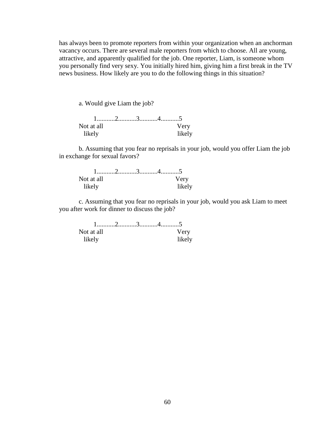has always been to promote reporters from within your organization when an anchorman vacancy occurs. There are several male reporters from which to choose. All are young, attractive, and apparently qualified for the job. One reporter, Liam, is someone whom you personally find very sexy. You initially hired him, giving him a first break in the TV news business. How likely are you to do the following things in this situation?

a. Would give Liam the job?

| Not at all |  | Very   |
|------------|--|--------|
| likely     |  | likely |

b. Assuming that you fear no reprisals in your job, would you offer Liam the job in exchange for sexual favors?

| Not at all |  | Very   |
|------------|--|--------|
| likely     |  | likely |

c. Assuming that you fear no reprisals in your job, would you ask Liam to meet you after work for dinner to discuss the job?

| Not at all |  | Verv   |
|------------|--|--------|
| likelv     |  | likely |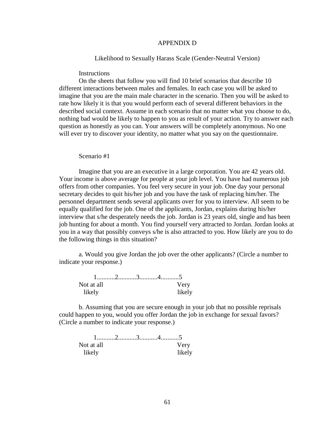#### APPENDIX D

#### Likelihood to Sexually Harass Scale (Gender-Neutral Version)

## **Instructions**

On the sheets that follow you will find 10 brief scenarios that describe 10 different interactions between males and females. In each case you will be asked to imagine that you are the main male character in the scenario. Then you will be asked to rate how likely it is that you would perform each of several different behaviors in the described social context. Assume in each scenario that no matter what you choose to do, nothing bad would be likely to happen to you as result of your action. Try to answer each question as honestly as you can. Your answers will be completely anonymous. No one will ever try to discover your identity, no matter what you say on the questionnaire.

#### Scenario #1

Imagine that you are an executive in a large corporation. You are 42 years old. Your income is above average for people at your job level. You have had numerous job offers from other companies. You feel very secure in your job. One day your personal secretary decides to quit his/her job and you have the task of replacing him/her. The personnel department sends several applicants over for you to interview. All seem to be equally qualified for the job. One of the applicants, Jordan, explains during his/her interview that s/he desperately needs the job. Jordan is 23 years old, single and has been job hunting for about a month. You find yourself very attracted to Jordan. Jordan looks at you in a way that possibly conveys s/he is also attracted to you. How likely are you to do the following things in this situation?

a. Would you give Jordan the job over the other applicants? (Circle a number to indicate your response.)

| Not at all |  | Very   |
|------------|--|--------|
| likely     |  | likely |

b. Assuming that you are secure enough in your job that no possible reprisals could happen to you, would you offer Jordan the job in exchange for sexual favors? (Circle a number to indicate your response.)

| Not at all |  | Very   |
|------------|--|--------|
| likely     |  | likely |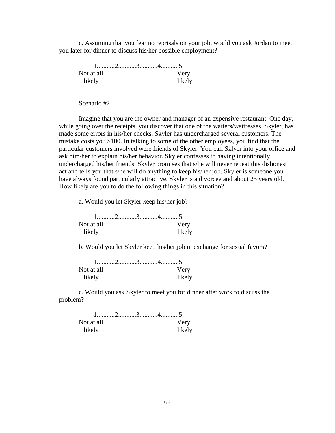c. Assuming that you fear no reprisals on your job, would you ask Jordan to meet you later for dinner to discuss his/her possible employment?

 1...........2...........3...........4...........5 Not at all **Very** likely likely

Scenario #2

Imagine that you are the owner and manager of an expensive restaurant. One day, while going over the receipts, you discover that one of the waiters/waitresses, Skyler, has made some errors in his/her checks. Skyler has undercharged several customers. The mistake costs you \$100. In talking to some of the other employees, you find that the particular customers involved were friends of Skyler. You call Sklyer into your office and ask him/her to explain his/her behavior. Skyler confesses to having intentionally undercharged his/her friends. Skyler promises that s/he will never repeat this dishonest act and tells you that s/he will do anything to keep his/her job. Skyler is someone you have always found particularly attractive. Skyler is a divorcee and about 25 years old. How likely are you to do the following things in this situation?

a. Would you let Skyler keep his/her job?

| Not at all |  | Very   |
|------------|--|--------|
| likely     |  | likely |

b. Would you let Skyler keep his/her job in exchange for sexual favors?

| Not at all |  |  | Very   |
|------------|--|--|--------|
| likely     |  |  | likely |

c. Would you ask Skyler to meet you for dinner after work to discuss the problem?

| Not at all |  | Verv   |
|------------|--|--------|
| likely     |  | likely |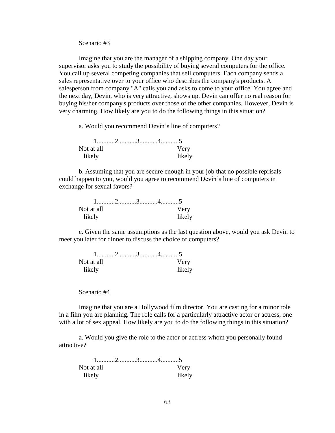Scenario #3

Imagine that you are the manager of a shipping company. One day your supervisor asks you to study the possibility of buying several computers for the office. You call up several competing companies that sell computers. Each company sends a sales representative over to your office who describes the company's products. A salesperson from company "A" calls you and asks to come to your office. You agree and the next day, Devin, who is very attractive, shows up. Devin can offer no real reason for buying his/her company's products over those of the other companies. However, Devin is very charming. How likely are you to do the following things in this situation?

a. Would you recommend Devin's line of computers?

| Not at all |  | Very   |
|------------|--|--------|
| likely     |  | likely |

b. Assuming that you are secure enough in your job that no possible reprisals could happen to you, would you agree to recommend Devin's line of computers in exchange for sexual favors?

| Not at all |  | Very   |
|------------|--|--------|
| likely     |  | likely |

c. Given the same assumptions as the last question above, would you ask Devin to meet you later for dinner to discuss the choice of computers?

| Not at all |  | Verv   |
|------------|--|--------|
| likelv     |  | likely |

Scenario #4

Imagine that you are a Hollywood film director. You are casting for a minor role in a film you are planning. The role calls for a particularly attractive actor or actress, one with a lot of sex appeal. How likely are you to do the following things in this situation?

a. Would you give the role to the actor or actress whom you personally found attractive?

| Not at all |  | Very   |
|------------|--|--------|
| likely     |  | likely |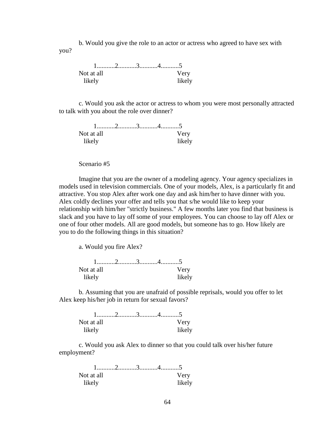b. Would you give the role to an actor or actress who agreed to have sex with you?

| Not at all |  | Very   |
|------------|--|--------|
| likely     |  | likely |

c. Would you ask the actor or actress to whom you were most personally attracted to talk with you about the role over dinner?

| Not at all |  | Verv   |
|------------|--|--------|
| likely     |  | likely |

Scenario #5

Imagine that you are the owner of a modeling agency. Your agency specializes in models used in television commercials. One of your models, Alex, is a particularly fit and attractive. You stop Alex after work one day and ask him/her to have dinner with you. Alex coldly declines your offer and tells you that s/he would like to keep your relationship with him/her "strictly business." A few months later you find that business is slack and you have to lay off some of your employees. You can choose to lay off Alex or one of four other models. All are good models, but someone has to go. How likely are you to do the following things in this situation?

a. Would you fire Alex?

| Not at all |  |  | Very   |
|------------|--|--|--------|
| likely     |  |  | likely |

b. Assuming that you are unafraid of possible reprisals, would you offer to let Alex keep his/her job in return for sexual favors?

| Not at all |  | Verv   |
|------------|--|--------|
| likely     |  | likely |

c. Would you ask Alex to dinner so that you could talk over his/her future employment?

| Not at all |  | Very   |
|------------|--|--------|
| likely     |  | likely |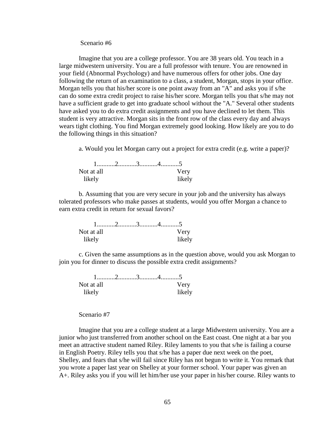#### Scenario #6

Imagine that you are a college professor. You are 38 years old. You teach in a large midwestern university. You are a full professor with tenure. You are renowned in your field (Abnormal Psychology) and have numerous offers for other jobs. One day following the return of an examination to a class, a student, Morgan, stops in your office. Morgan tells you that his/her score is one point away from an "A" and asks you if s/he can do some extra credit project to raise his/her score. Morgan tells you that s/he may not have a sufficient grade to get into graduate school without the "A." Several other students have asked you to do extra credit assignments and you have declined to let them. This student is very attractive. Morgan sits in the front row of the class every day and always wears tight clothing. You find Morgan extremely good looking. How likely are you to do the following things in this situation?

a. Would you let Morgan carry out a project for extra credit (e.g. write a paper)?

| Not at all |  | Very   |
|------------|--|--------|
| likely     |  | likely |

b. Assuming that you are very secure in your job and the university has always tolerated professors who make passes at students, would you offer Morgan a chance to earn extra credit in return for sexual favors?

| Not at all |  | Very   |
|------------|--|--------|
| likely     |  | likely |

c. Given the same assumptions as in the question above, would you ask Morgan to join you for dinner to discuss the possible extra credit assignments?

| Not at all |  | Very   |
|------------|--|--------|
| likely     |  | likely |

## Scenario #7

Imagine that you are a college student at a large Midwestern university. You are a junior who just transferred from another school on the East coast. One night at a bar you meet an attractive student named Riley. Riley laments to you that s/he is failing a course in English Poetry. Riley tells you that s/he has a paper due next week on the poet, Shelley, and fears that s/he will fail since Riley has not begun to write it. You remark that you wrote a paper last year on Shelley at your former school. Your paper was given an A+. Riley asks you if you will let him/her use your paper in his/her course. Riley wants to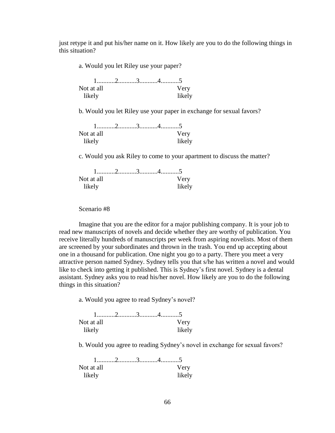just retype it and put his/her name on it. How likely are you to do the following things in this situation?

a. Would you let Riley use your paper?

| Not at all |  | Very   |
|------------|--|--------|
| likely     |  | likely |

b. Would you let Riley use your paper in exchange for sexual favors?

| Not at all |  | Very   |
|------------|--|--------|
| likely     |  | likely |

c. Would you ask Riley to come to your apartment to discuss the matter?

| Not at all |  | Very   |
|------------|--|--------|
| likely     |  | likely |

Scenario #8

Imagine that you are the editor for a major publishing company. It is your job to read new manuscripts of novels and decide whether they are worthy of publication. You receive literally hundreds of manuscripts per week from aspiring novelists. Most of them are screened by your subordinates and thrown in the trash. You end up accepting about one in a thousand for publication. One night you go to a party. There you meet a very attractive person named Sydney. Sydney tells you that s/he has written a novel and would like to check into getting it published. This is Sydney's first novel. Sydney is a dental assistant. Sydney asks you to read his/her novel. How likely are you to do the following things in this situation?

a. Would you agree to read Sydney's novel?

| Not at all |  | Verv   |
|------------|--|--------|
| likelv     |  | likely |

b. Would you agree to reading Sydney's novel in exchange for sexual favors?

| Not at all |  | Very   |
|------------|--|--------|
| likely     |  | likely |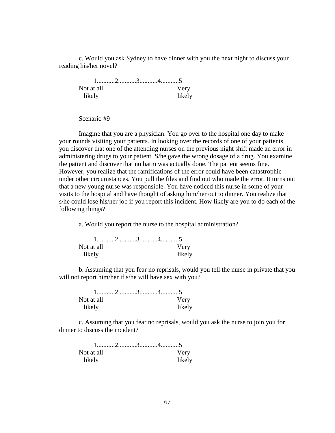c. Would you ask Sydney to have dinner with you the next night to discuss your reading his/her novel?

 1...........2...........3...........4...........5 Not at all Very likely likely

Scenario #9

Imagine that you are a physician. You go over to the hospital one day to make your rounds visiting your patients. In looking over the records of one of your patients, you discover that one of the attending nurses on the previous night shift made an error in administering drugs to your patient. S/he gave the wrong dosage of a drug. You examine the patient and discover that no harm was actually done. The patient seems fine. However, you realize that the ramifications of the error could have been catastrophic under other circumstances. You pull the files and find out who made the error. It turns out that a new young nurse was responsible. You have noticed this nurse in some of your visits to the hospital and have thought of asking him/her out to dinner. You realize that s/he could lose his/her job if you report this incident. How likely are you to do each of the following things?

a. Would you report the nurse to the hospital administration?

| Not at all |  | Verv   |
|------------|--|--------|
| likely     |  | likely |

b. Assuming that you fear no reprisals, would you tell the nurse in private that you will not report him/her if s/he will have sex with you?

| Not at all |  | Very   |
|------------|--|--------|
| likely     |  | likely |

c. Assuming that you fear no reprisals, would you ask the nurse to join you for dinner to discuss the incident?

| Not at all |  | Verv   |
|------------|--|--------|
| likelv     |  | likely |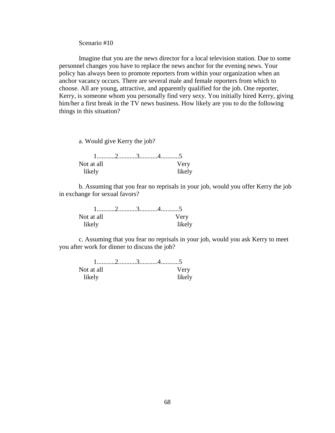Scenario #10

Imagine that you are the news director for a local television station. Due to some personnel changes you have to replace the news anchor for the evening news. Your policy has always been to promote reporters from within your organization when an anchor vacancy occurs. There are several male and female reporters from which to choose. All are young, attractive, and apparently qualified for the job. One reporter, Kerry, is someone whom you personally find very sexy. You initially hired Kerry, giving him/her a first break in the TV news business. How likely are you to do the following things in this situation?

a. Would give Kerry the job?

| Not at all |  | Verv   |
|------------|--|--------|
| likely     |  | likely |

b. Assuming that you fear no reprisals in your job, would you offer Kerry the job in exchange for sexual favors?

| Not at all |  | Very   |
|------------|--|--------|
| likely     |  | likely |

c. Assuming that you fear no reprisals in your job, would you ask Kerry to meet you after work for dinner to discuss the job?

| Not at all |  |  | Very   |
|------------|--|--|--------|
| likely     |  |  | likely |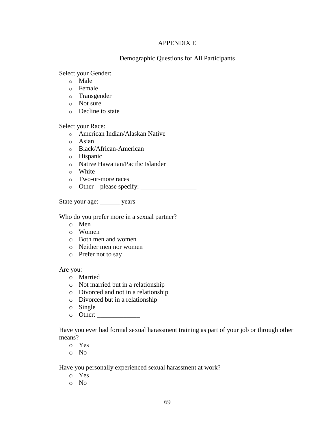#### APPENDIX E

### Demographic Questions for All Participants

Select your Gender:

- o Male
- o Female
- o Transgender
- o Not sure
- o Decline to state

Select your Race:

- o American Indian/Alaskan Native
- o Asian
- o Black/African-American
- o Hispanic
- o Native Hawaiian/Pacific Islander
- o White
- o Two-or-more races
- o Other please specify: \_\_\_\_\_\_\_\_\_\_\_\_\_\_\_\_\_

State your age: \_\_\_\_\_\_ years

Who do you prefer more in a sexual partner?

- o Men
- o Women
- o Both men and women
- o Neither men nor women
- o Prefer not to say

Are you:

- o Married
- o Not married but in a relationship
- o Divorced and not in a relationship
- o Divorced but in a relationship
- o Single
- $\circ$  Other:

Have you ever had formal sexual harassment training as part of your job or through other means?

- o Yes
- o No

Have you personally experienced sexual harassment at work?

- o Yes
- o No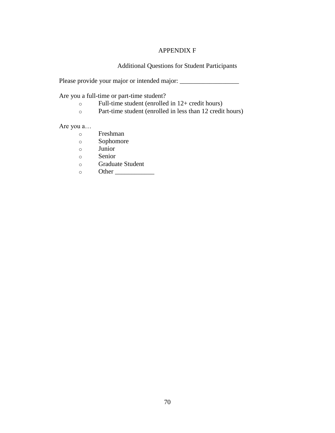## APPENDIX F

Additional Questions for Student Participants

Please provide your major or intended major: \_\_\_\_\_\_\_\_\_\_\_\_\_\_\_\_\_\_

Are you a full-time or part-time student?

- $\circ$  Full-time student (enrolled in 12+ credit hours)
- o Part-time student (enrolled in less than 12 credit hours)

Are you a…

- o Freshman
- o Sophomore
- o Junior
- o Senior
- o Graduate Student
- $\circ$  Other  $\Box$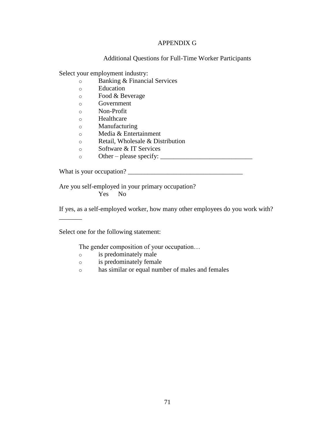## APPENDIX G

#### Additional Questions for Full-Time Worker Participants

Select your employment industry:

- o Banking & Financial Services
- o Education
- o Food & Beverage
- o Government
- o Non-Profit
- o Healthcare
- o Manufacturing
- o Media & Entertainment
- o Retail, Wholesale & Distribution
- o Software & IT Services
- o Other please specify: \_\_\_\_\_\_\_\_\_\_\_\_\_\_\_\_\_\_\_\_\_\_\_\_\_\_\_\_

What is your occupation? \_\_\_\_\_\_\_\_\_\_\_\_\_\_\_\_\_\_\_\_\_\_\_\_\_\_\_\_\_\_\_\_\_\_\_

Are you self-employed in your primary occupation? Yes No

If yes, as a self-employed worker, how many other employees do you work with?

Select one for the following statement:

\_\_\_\_\_\_\_

The gender composition of your occupation…

- o is predominately male
- o is predominately female
- o has similar or equal number of males and females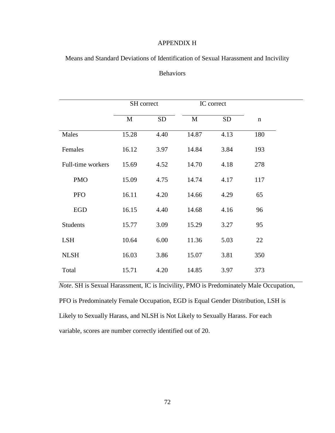### APPENDIX H

Means and Standard Deviations of Identification of Sexual Harassment and Incivility

## Behaviors

|                   | SH correct |           |              | IC correct |             |
|-------------------|------------|-----------|--------------|------------|-------------|
|                   | M          | <b>SD</b> | $\mathbf{M}$ | <b>SD</b>  | $\mathbf n$ |
| Males             | 15.28      | 4.40      | 14.87        | 4.13       | 180         |
| Females           | 16.12      | 3.97      | 14.84        | 3.84       | 193         |
| Full-time workers | 15.69      | 4.52      | 14.70        | 4.18       | 278         |
| <b>PMO</b>        | 15.09      | 4.75      | 14.74        | 4.17       | 117         |
| <b>PFO</b>        | 16.11      | 4.20      | 14.66        | 4.29       | 65          |
| <b>EGD</b>        | 16.15      | 4.40      | 14.68        | 4.16       | 96          |
| <b>Students</b>   | 15.77      | 3.09      | 15.29        | 3.27       | 95          |
| <b>LSH</b>        | 10.64      | 6.00      | 11.36        | 5.03       | 22          |
| <b>NLSH</b>       | 16.03      | 3.86      | 15.07        | 3.81       | 350         |
| Total             | 15.71      | 4.20      | 14.85        | 3.97       | 373         |

*Note*. SH is Sexual Harassment, IC is Incivility, PMO is Predominately Male Occupation, PFO is Predominately Female Occupation, EGD is Equal Gender Distribution, LSH is Likely to Sexually Harass, and NLSH is Not Likely to Sexually Harass. For each variable, scores are number correctly identified out of 20.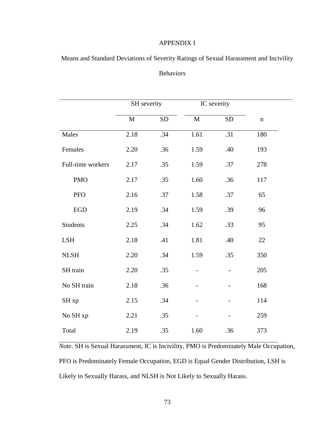### APPENDIX I

Means and Standard Deviations of Severity Ratings of Sexual Harassment and Incivility

## Behaviors

|                   | SH severity |           |                   | IC severity |             |  |
|-------------------|-------------|-----------|-------------------|-------------|-------------|--|
|                   | M           | <b>SD</b> | $\mathbf{M}$      | <b>SD</b>   | $\mathbf n$ |  |
| Males             | 2.18        | .34       | $\overline{1.61}$ | .31         | 180         |  |
| Females           | 2.20        | .36       | 1.59              | .40         | 193         |  |
| Full-time workers | 2.17        | .35       | 1.59              | .37         | 278         |  |
| <b>PMO</b>        | 2.17        | .35       | 1.60              | .36         | 117         |  |
| PFO               | 2.16        | .37       | 1.58              | .37         | 65          |  |
| ${\rm EGD}$       | 2.19        | .34       | 1.59              | .39         | 96          |  |
| <b>Students</b>   | 2.25        | .34       | 1.62              | .33         | 95          |  |
| <b>LSH</b>        | 2.18        | .41       | 1.81              | .40         | 22          |  |
| <b>NLSH</b>       | 2.20        | .34       | 1.59              | .35         | 350         |  |
| SH train          | 2.20        | .35       |                   |             | 205         |  |
| No SH train       | 2.18        | .36       |                   |             | 168         |  |
| SH <sub>xp</sub>  | 2.15        | .34       |                   |             | 114         |  |
| No SH xp          | 2.21        | .35       |                   |             | 259         |  |
| Total             | 2.19        | .35       | 1.60              | .36         | 373         |  |

*Note*. SH is Sexual Harassment, IC is Incivility, PMO is Predominately Male Occupation, PFO is Predominately Female Occupation, EGD is Equal Gender Distribution, LSH is Likely to Sexually Harass, and NLSH is Not Likely to Sexually Harass.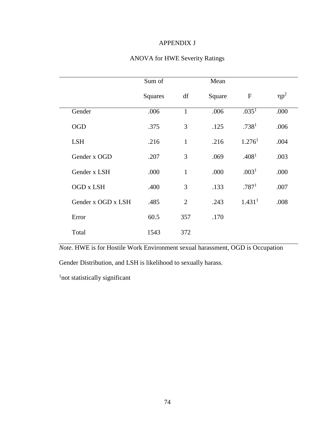## APPENDIX J

## ANOVA for HWE Severity Ratings

|                    | Sum of  |                | Mean   |                    |            |
|--------------------|---------|----------------|--------|--------------------|------------|
|                    | Squares | df             | Square | $\mathbf F$        | $\eta p^2$ |
| Gender             | .006    | $\mathbf{1}$   | .006   | .035 <sup>1</sup>  | .000       |
| <b>OGD</b>         | .375    | 3              | .125   | .738 <sup>1</sup>  | .006       |
| <b>LSH</b>         | .216    | $\mathbf{1}$   | .216   | 1.276 <sup>1</sup> | .004       |
| Gender x OGD       | .207    | 3              | .069   | .408 <sup>1</sup>  | .003       |
| Gender x LSH       | .000    | $\mathbf{1}$   | .000   | .003 <sup>1</sup>  | .000       |
| OGD x LSH          | .400    | 3              | .133   | .787 <sup>1</sup>  | .007       |
| Gender x OGD x LSH | .485    | $\overline{2}$ | .243   | 1.431 <sup>1</sup> | .008       |
| Error              | 60.5    | 357            | .170   |                    |            |
| Total              | 1543    | 372            |        |                    |            |

*Note.* HWE is for Hostile Work Environment sexual harassment, OGD is Occupation

Gender Distribution, and LSH is likelihood to sexually harass.

<sup>1</sup> not statistically significant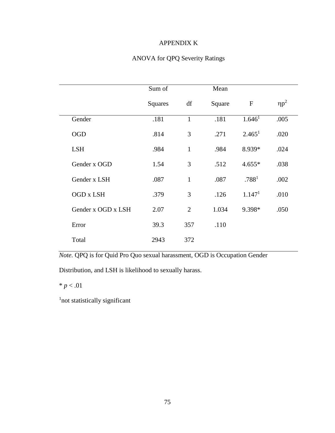## APPENDIX K

## ANOVA for QPQ Severity Ratings

|                    | Sum of  |                | Mean   |                    |            |
|--------------------|---------|----------------|--------|--------------------|------------|
|                    | Squares | df             | Square | $\mathbf F$        | $\eta p^2$ |
| Gender             | .181    | $\mathbf{1}$   | .181   | 1.646 <sup>1</sup> | .005       |
| <b>OGD</b>         | .814    | 3              | .271   | 2.465 <sup>1</sup> | .020       |
| <b>LSH</b>         | .984    | $\mathbf{1}$   | .984   | 8.939*             | .024       |
| Gender x OGD       | 1.54    | 3              | .512   | $4.655*$           | .038       |
| Gender x LSH       | .087    | $\mathbf{1}$   | .087   | .788 <sup>1</sup>  | .002       |
| OGD x LSH          | .379    | 3              | .126   | 1.147 <sup>1</sup> | .010       |
| Gender x OGD x LSH | 2.07    | $\overline{2}$ | 1.034  | 9.398*             | .050       |
| Error              | 39.3    | 357            | .110   |                    |            |
| Total              | 2943    | 372            |        |                    |            |

*Note.* QPQ is for Quid Pro Quo sexual harassment, OGD is Occupation Gender

Distribution, and LSH is likelihood to sexually harass.

 $* p < .01$ 

<sup>1</sup>not statistically significant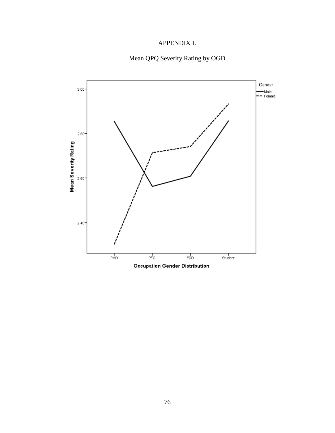## APPENDIX L

# Mean QPQ Severity Rating by OGD

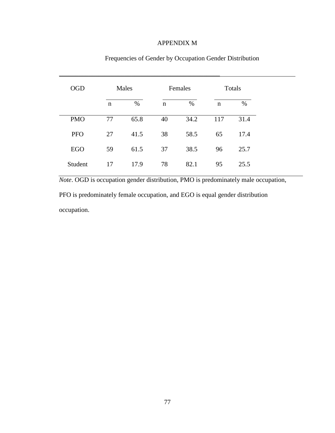#### APPENDIX M

\_\_\_\_\_\_\_\_\_\_\_\_\_\_\_\_\_\_\_\_\_\_\_\_\_\_\_\_\_\_\_\_\_\_\_\_\_\_\_\_\_\_\_\_\_\_\_\_\_

| <b>OGD</b> | Males |      |             | Females |             | Totals |  |
|------------|-------|------|-------------|---------|-------------|--------|--|
|            | n     | %    | $\mathbf n$ | $\%$    | $\mathbf n$ | %      |  |
| <b>PMO</b> | 77    | 65.8 | 40          | 34.2    | 117         | 31.4   |  |
| <b>PFO</b> | 27    | 41.5 | 38          | 58.5    | 65          | 17.4   |  |
| <b>EGO</b> | 59    | 61.5 | 37          | 38.5    | 96          | 25.7   |  |
| Student    | 17    | 17.9 | 78          | 82.1    | 95          | 25.5   |  |

Frequencies of Gender by Occupation Gender Distribution

*Note*. OGD is occupation gender distribution, PMO is predominately male occupation, PFO is predominately female occupation, and EGO is equal gender distribution occupation.